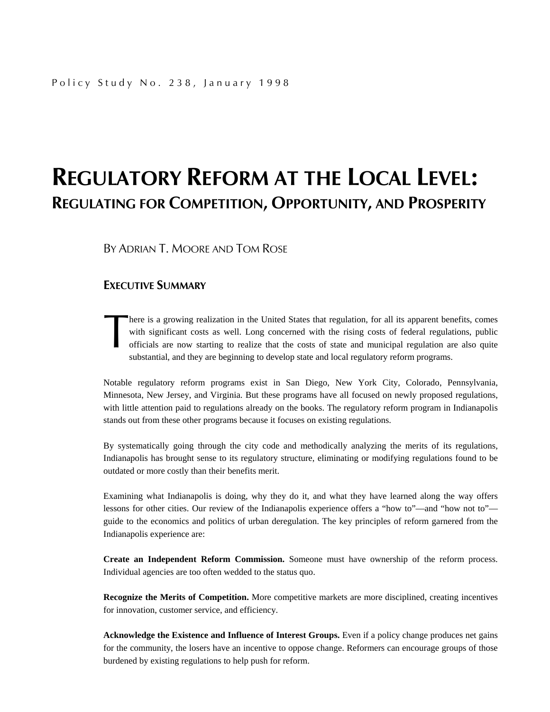## **REGULATORY REFORM AT THE LOCAL LEVEL: REGULATING FOR COMPETITION, OPPORTUNITY, AND PROSPERITY**

BY ADRIAN T. MOORE AND TOM ROSE

### **EXECUTIVE SUMMARY**

here is a growing realization in the United States that regulation, for all its apparent benefits, comes with significant costs as well. Long concerned with the rising costs of federal regulations, public officials are now starting to realize that the costs of state and municipal regulation are also quite substantial, and they are beginning to develop state and local regulatory reform programs. here<br>with<br>offi

Notable regulatory reform programs exist in San Diego, New York City, Colorado, Pennsylvania, Minnesota, New Jersey, and Virginia. But these programs have all focused on newly proposed regulations, with little attention paid to regulations already on the books. The regulatory reform program in Indianapolis stands out from these other programs because it focuses on existing regulations.

By systematically going through the city code and methodically analyzing the merits of its regulations, Indianapolis has brought sense to its regulatory structure, eliminating or modifying regulations found to be outdated or more costly than their benefits merit.

Examining what Indianapolis is doing, why they do it, and what they have learned along the way offers lessons for other cities. Our review of the Indianapolis experience offers a "how to"—and "how not to" guide to the economics and politics of urban deregulation. The key principles of reform garnered from the Indianapolis experience are:

**Create an Independent Reform Commission.** Someone must have ownership of the reform process. Individual agencies are too often wedded to the status quo.

**Recognize the Merits of Competition.** More competitive markets are more disciplined, creating incentives for innovation, customer service, and efficiency.

**Acknowledge the Existence and Influence of Interest Groups.** Even if a policy change produces net gains for the community, the losers have an incentive to oppose change. Reformers can encourage groups of those burdened by existing regulations to help push for reform.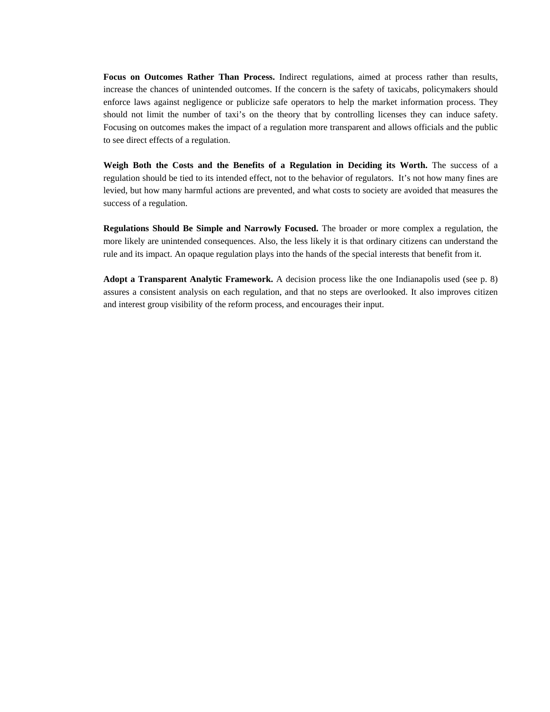**Focus on Outcomes Rather Than Process.** Indirect regulations, aimed at process rather than results, increase the chances of unintended outcomes. If the concern is the safety of taxicabs, policymakers should enforce laws against negligence or publicize safe operators to help the market information process. They should not limit the number of taxi's on the theory that by controlling licenses they can induce safety. Focusing on outcomes makes the impact of a regulation more transparent and allows officials and the public to see direct effects of a regulation.

**Weigh Both the Costs and the Benefits of a Regulation in Deciding its Worth.** The success of a regulation should be tied to its intended effect, not to the behavior of regulators. It's not how many fines are levied, but how many harmful actions are prevented, and what costs to society are avoided that measures the success of a regulation.

**Regulations Should Be Simple and Narrowly Focused.** The broader or more complex a regulation, the more likely are unintended consequences. Also, the less likely it is that ordinary citizens can understand the rule and its impact. An opaque regulation plays into the hands of the special interests that benefit from it.

**Adopt a Transparent Analytic Framework.** A decision process like the one Indianapolis used (see p. 8) assures a consistent analysis on each regulation, and that no steps are overlooked. It also improves citizen and interest group visibility of the reform process, and encourages their input.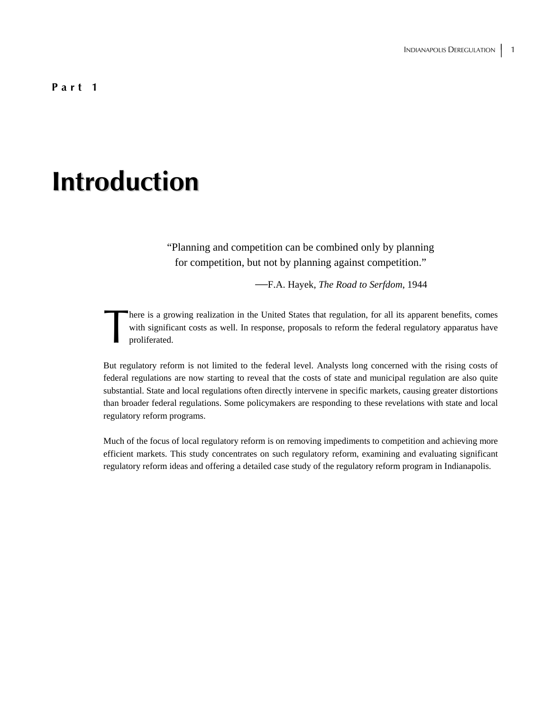**Part 1** 

## **Introduction**

"Planning and competition can be combined only by planning for competition, but not by planning against competition."

—F.A. Hayek, *The Road to Serfdom*, 1944

here is a growing realization in the United States that regulation, for all its apparent benefits, comes with significant costs as well. In response, proposals to reform the federal regulatory apparatus have proliferated. There with with the pro-

But regulatory reform is not limited to the federal level. Analysts long concerned with the rising costs of federal regulations are now starting to reveal that the costs of state and municipal regulation are also quite substantial. State and local regulations often directly intervene in specific markets, causing greater distortions than broader federal regulations. Some policymakers are responding to these revelations with state and local regulatory reform programs.

Much of the focus of local regulatory reform is on removing impediments to competition and achieving more efficient markets. This study concentrates on such regulatory reform, examining and evaluating significant regulatory reform ideas and offering a detailed case study of the regulatory reform program in Indianapolis.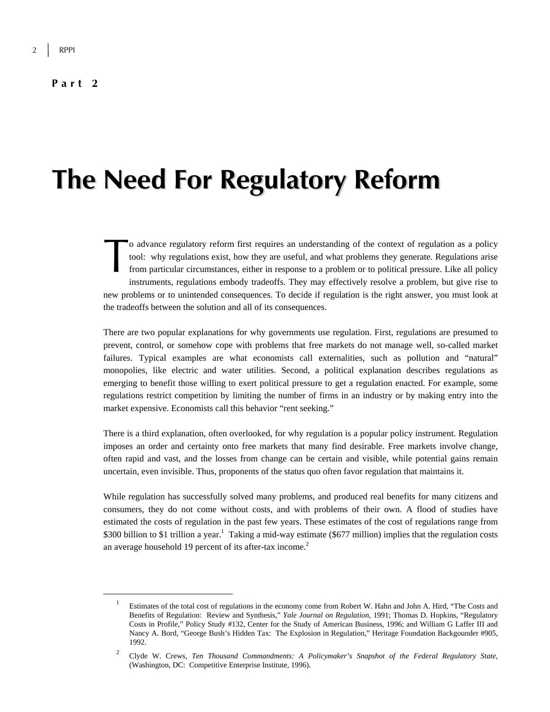#### **Part 2**

## **The Need For Regulatory Reform**

o advance regulatory reform first requires an understanding of the context of regulation as a policy tool: why regulations exist, how they are useful, and what problems they generate. Regulations arise from particular circumstances, either in response to a problem or to political pressure. Like all policy instruments, regulations embody tradeoffs. They may effectively resolve a problem, but give rise to new problems or to unintended consequences. To decide if regulation is the right answer, you must look at the tradeoffs between the solution and all of its consequences. o a

There are two popular explanations for why governments use regulation. First, regulations are presumed to prevent, control, or somehow cope with problems that free markets do not manage well, so-called market failures. Typical examples are what economists call externalities, such as pollution and "natural" monopolies, like electric and water utilities. Second, a political explanation describes regulations as emerging to benefit those willing to exert political pressure to get a regulation enacted. For example, some regulations restrict competition by limiting the number of firms in an industry or by making entry into the market expensive. Economists call this behavior "rent seeking."

There is a third explanation, often overlooked, for why regulation is a popular policy instrument. Regulation imposes an order and certainty onto free markets that many find desirable. Free markets involve change, often rapid and vast, and the losses from change can be certain and visible, while potential gains remain uncertain, even invisible. Thus, proponents of the status quo often favor regulation that maintains it.

While regulation has successfully solved many problems, and produced real benefits for many citizens and consumers, they do not come without costs, and with problems of their own. A flood of studies have estimated the costs of regulation in the past few years. These estimates of the cost of regulations range from \$300 billion to \$1 trillion a year.<sup>1</sup> Taking a mid-way estimate (\$677 million) implies that the regulation costs an average household 19 percent of its after-tax income.<sup>2</sup>

 $\overline{\phantom{0}1}$  Estimates of the total cost of regulations in the economy come from Robert W. Hahn and John A. Hird, "The Costs and Benefits of Regulation: Review and Synthesis," *Yale Journal on Regulation*, 1991; Thomas D. Hopkins, "Regulatory Costs in Profile," Policy Study #132, Center for the Study of American Business, 1996; and William G Laffer III and Nancy A. Bord, "George Bush's Hidden Tax: The Explosion in Regulation," Heritage Foundation Backgounder #905, 1992.

<sup>2</sup> Clyde W. Crews, *Ten Thousand Commandments: A Policymaker's Snapshot of the Federal Regulatory State,* (Washington, DC: Competitive Enterprise Institute, 1996).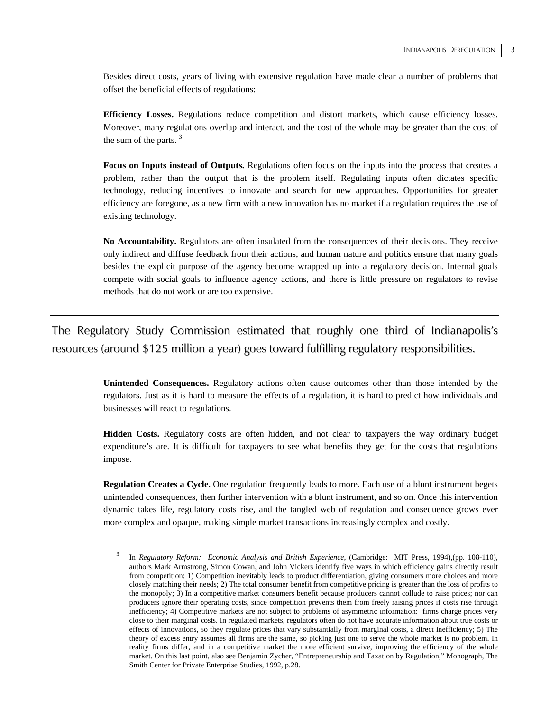Besides direct costs, years of living with extensive regulation have made clear a number of problems that offset the beneficial effects of regulations:

**Efficiency Losses.** Regulations reduce competition and distort markets, which cause efficiency losses. Moreover, many regulations overlap and interact, and the cost of the whole may be greater than the cost of the sum of the parts. <sup>3</sup>

**Focus on Inputs instead of Outputs.** Regulations often focus on the inputs into the process that creates a problem, rather than the output that is the problem itself. Regulating inputs often dictates specific technology, reducing incentives to innovate and search for new approaches. Opportunities for greater efficiency are foregone, as a new firm with a new innovation has no market if a regulation requires the use of existing technology.

**No Accountability.** Regulators are often insulated from the consequences of their decisions. They receive only indirect and diffuse feedback from their actions, and human nature and politics ensure that many goals besides the explicit purpose of the agency become wrapped up into a regulatory decision. Internal goals compete with social goals to influence agency actions, and there is little pressure on regulators to revise methods that do not work or are too expensive.

The Regulatory Study Commission estimated that roughly one third of Indianapolis's resources (around \$125 million a year) goes toward fulfilling regulatory responsibilities.

> **Unintended Consequences.** Regulatory actions often cause outcomes other than those intended by the regulators. Just as it is hard to measure the effects of a regulation, it is hard to predict how individuals and businesses will react to regulations.

> **Hidden Costs.** Regulatory costs are often hidden, and not clear to taxpayers the way ordinary budget expenditure's are. It is difficult for taxpayers to see what benefits they get for the costs that regulations impose.

> **Regulation Creates a Cycle.** One regulation frequently leads to more. Each use of a blunt instrument begets unintended consequences, then further intervention with a blunt instrument, and so on. Once this intervention dynamic takes life, regulatory costs rise, and the tangled web of regulation and consequence grows ever more complex and opaque, making simple market transactions increasingly complex and costly.

 <sup>3</sup> In *Regulatory Reform: Economic Analysis and British Experience*, (Cambridge: MIT Press, 1994),(pp. 108-110), authors Mark Armstrong, Simon Cowan, and John Vickers identify five ways in which efficiency gains directly result from competition: 1) Competition inevitably leads to product differentiation, giving consumers more choices and more closely matching their needs; 2) The total consumer benefit from competitive pricing is greater than the loss of profits to the monopoly; 3) In a competitive market consumers benefit because producers cannot collude to raise prices; nor can producers ignore their operating costs, since competition prevents them from freely raising prices if costs rise through inefficiency; 4) Competitive markets are not subject to problems of asymmetric information: firms charge prices very close to their marginal costs. In regulated markets, regulators often do not have accurate information about true costs or effects of innovations, so they regulate prices that vary substantially from marginal costs, a direct inefficiency; 5) The theory of excess entry assumes all firms are the same, so picking just one to serve the whole market is no problem. In reality firms differ, and in a competitive market the more efficient survive, improving the efficiency of the whole market. On this last point, also see Benjamin Zycher, "Entrepreneurship and Taxation by Regulation," Monograph, The Smith Center for Private Enterprise Studies, 1992, p.28.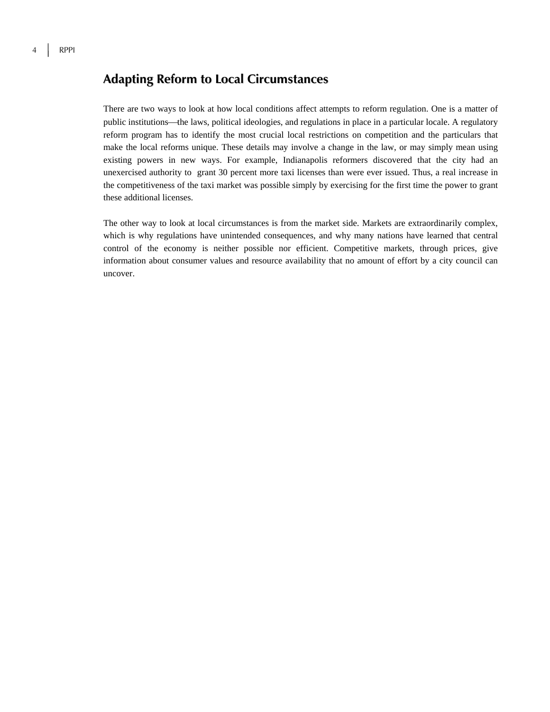### **Adapting Reform to Local Circumstances**

There are two ways to look at how local conditions affect attempts to reform regulation. One is a matter of public institutions—the laws, political ideologies, and regulations in place in a particular locale. A regulatory reform program has to identify the most crucial local restrictions on competition and the particulars that make the local reforms unique. These details may involve a change in the law, or may simply mean using existing powers in new ways. For example, Indianapolis reformers discovered that the city had an unexercised authority to grant 30 percent more taxi licenses than were ever issued. Thus, a real increase in the competitiveness of the taxi market was possible simply by exercising for the first time the power to grant these additional licenses.

The other way to look at local circumstances is from the market side. Markets are extraordinarily complex, which is why regulations have unintended consequences, and why many nations have learned that central control of the economy is neither possible nor efficient. Competitive markets, through prices, give information about consumer values and resource availability that no amount of effort by a city council can uncover.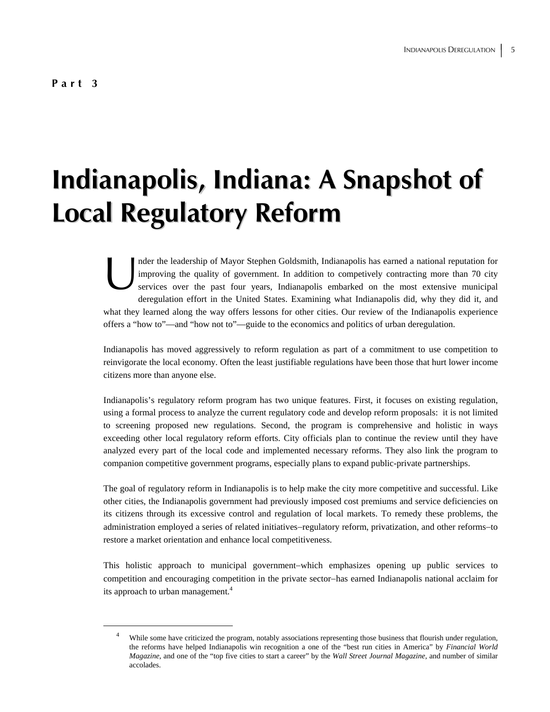# **Indianapolis, Indiana: A Snapshot of Local Regulatory Reform**

nder the leadership of Mayor Stephen Goldsmith, Indianapolis has earned a national reputation for improving the quality of government. In addition to competively contracting more than 70 city services over the past four years, Indianapolis embarked on the most extensive municipal deregulation effort in the United States. Examining what Indianapolis did, why they did it, and what they learned along the way offers lessons for other cities. Our review of the Indianapolis experience offers a "how to"—and "how not to"—guide to the economics and politics of urban deregulation. median report of the services of the services of the services of the services of the services of the services of the services of the services of the services of the services of the services of the services of the services

Indianapolis has moved aggressively to reform regulation as part of a commitment to use competition to reinvigorate the local economy. Often the least justifiable regulations have been those that hurt lower income citizens more than anyone else.

Indianapolis's regulatory reform program has two unique features. First, it focuses on existing regulation, using a formal process to analyze the current regulatory code and develop reform proposals: it is not limited to screening proposed new regulations. Second, the program is comprehensive and holistic in ways exceeding other local regulatory reform efforts. City officials plan to continue the review until they have analyzed every part of the local code and implemented necessary reforms. They also link the program to companion competitive government programs, especially plans to expand public-private partnerships.

The goal of regulatory reform in Indianapolis is to help make the city more competitive and successful. Like other cities, the Indianapolis government had previously imposed cost premiums and service deficiencies on its citizens through its excessive control and regulation of local markets. To remedy these problems, the administration employed a series of related initiatives−regulatory reform, privatization, and other reforms−to restore a market orientation and enhance local competitiveness.

This holistic approach to municipal government−which emphasizes opening up public services to competition and encouraging competition in the private sector−has earned Indianapolis national acclaim for its approach to urban management.<sup>4</sup>

 $\overline{4}$ <sup>4</sup> While some have criticized the program, notably associations representing those business that flourish under regulation, the reforms have helped Indianapolis win recognition a one of the "best run cities in America" by *Financial World Magazine*, and one of the "top five cities to start a career" by the *Wall Street Journal Magazine*, and number of similar accolades.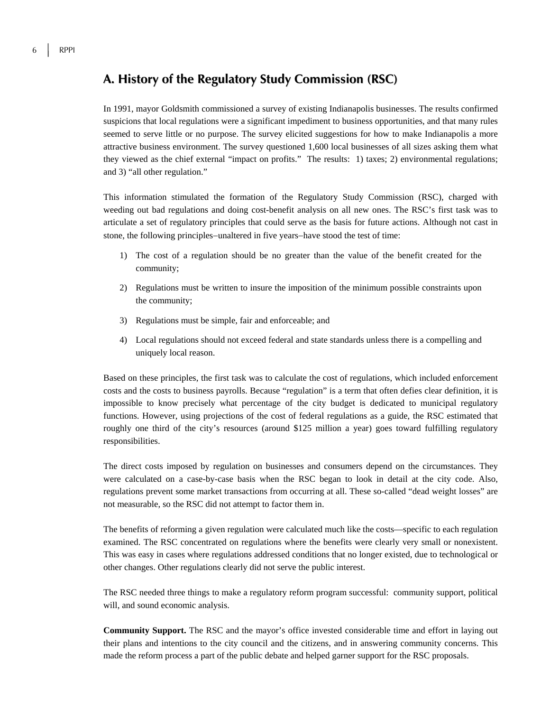### **A. History of the Regulatory Study Commission (RSC)**

In 1991, mayor Goldsmith commissioned a survey of existing Indianapolis businesses. The results confirmed suspicions that local regulations were a significant impediment to business opportunities, and that many rules seemed to serve little or no purpose. The survey elicited suggestions for how to make Indianapolis a more attractive business environment. The survey questioned 1,600 local businesses of all sizes asking them what they viewed as the chief external "impact on profits." The results: 1) taxes; 2) environmental regulations; and 3) "all other regulation."

This information stimulated the formation of the Regulatory Study Commission (RSC), charged with weeding out bad regulations and doing cost-benefit analysis on all new ones. The RSC's first task was to articulate a set of regulatory principles that could serve as the basis for future actions. Although not cast in stone, the following principles−unaltered in five years−have stood the test of time:

- 1) The cost of a regulation should be no greater than the value of the benefit created for the community;
- 2) Regulations must be written to insure the imposition of the minimum possible constraints upon the community;
- 3) Regulations must be simple, fair and enforceable; and
- 4) Local regulations should not exceed federal and state standards unless there is a compelling and uniquely local reason.

Based on these principles, the first task was to calculate the cost of regulations, which included enforcement costs and the costs to business payrolls. Because "regulation" is a term that often defies clear definition, it is impossible to know precisely what percentage of the city budget is dedicated to municipal regulatory functions. However, using projections of the cost of federal regulations as a guide, the RSC estimated that roughly one third of the city's resources (around \$125 million a year) goes toward fulfilling regulatory responsibilities.

The direct costs imposed by regulation on businesses and consumers depend on the circumstances. They were calculated on a case-by-case basis when the RSC began to look in detail at the city code. Also, regulations prevent some market transactions from occurring at all. These so-called "dead weight losses" are not measurable, so the RSC did not attempt to factor them in.

The benefits of reforming a given regulation were calculated much like the costs—specific to each regulation examined. The RSC concentrated on regulations where the benefits were clearly very small or nonexistent. This was easy in cases where regulations addressed conditions that no longer existed, due to technological or other changes. Other regulations clearly did not serve the public interest.

The RSC needed three things to make a regulatory reform program successful: community support, political will, and sound economic analysis.

**Community Support.** The RSC and the mayor's office invested considerable time and effort in laying out their plans and intentions to the city council and the citizens, and in answering community concerns. This made the reform process a part of the public debate and helped garner support for the RSC proposals.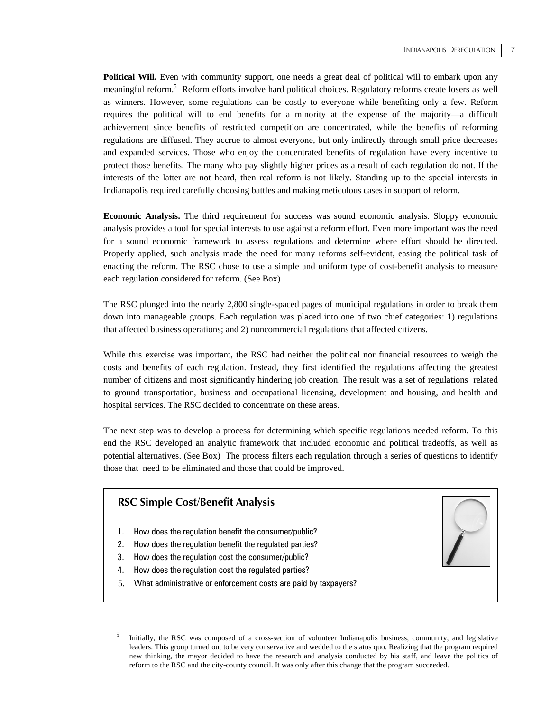**Political Will.** Even with community support, one needs a great deal of political will to embark upon any meaningful reform.<sup>5</sup> Reform efforts involve hard political choices. Regulatory reforms create losers as well as winners. However, some regulations can be costly to everyone while benefiting only a few. Reform requires the political will to end benefits for a minority at the expense of the majority—a difficult achievement since benefits of restricted competition are concentrated, while the benefits of reforming regulations are diffused. They accrue to almost everyone, but only indirectly through small price decreases and expanded services. Those who enjoy the concentrated benefits of regulation have every incentive to protect those benefits. The many who pay slightly higher prices as a result of each regulation do not. If the interests of the latter are not heard, then real reform is not likely. Standing up to the special interests in Indianapolis required carefully choosing battles and making meticulous cases in support of reform.

**Economic Analysis.** The third requirement for success was sound economic analysis. Sloppy economic analysis provides a tool for special interests to use against a reform effort. Even more important was the need for a sound economic framework to assess regulations and determine where effort should be directed. Properly applied, such analysis made the need for many reforms self-evident, easing the political task of enacting the reform. The RSC chose to use a simple and uniform type of cost-benefit analysis to measure each regulation considered for reform. (See Box)

The RSC plunged into the nearly 2,800 single-spaced pages of municipal regulations in order to break them down into manageable groups. Each regulation was placed into one of two chief categories: 1) regulations that affected business operations; and 2) noncommercial regulations that affected citizens.

While this exercise was important, the RSC had neither the political nor financial resources to weigh the costs and benefits of each regulation. Instead, they first identified the regulations affecting the greatest number of citizens and most significantly hindering job creation. The result was a set of regulations related to ground transportation, business and occupational licensing, development and housing, and health and hospital services. The RSC decided to concentrate on these areas.

The next step was to develop a process for determining which specific regulations needed reform. To this end the RSC developed an analytic framework that included economic and political tradeoffs, as well as potential alternatives. (See Box) The process filters each regulation through a series of questions to identify those that need to be eliminated and those that could be improved.

## **RSC Simple Cost/Benefit Analysis**

- 1. How does the regulation benefit the consumer/public?
- 2. How does the regulation benefit the regulated parties?
- 3. How does the regulation cost the consumer/public?
- 4. How does the regulation cost the regulated parties?
- 5. What administrative or enforcement costs are paid by taxpayers?

 $rac{1}{5}$  Initially, the RSC was composed of a cross-section of volunteer Indianapolis business, community, and legislative leaders. This group turned out to be very conservative and wedded to the status quo. Realizing that the program required new thinking, the mayor decided to have the research and analysis conducted by his staff, and leave the politics of reform to the RSC and the city-county council. It was only after this change that the program succeeded.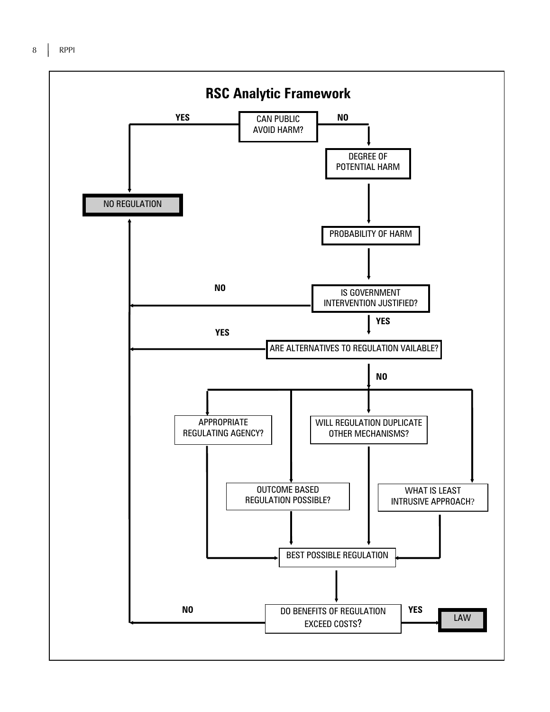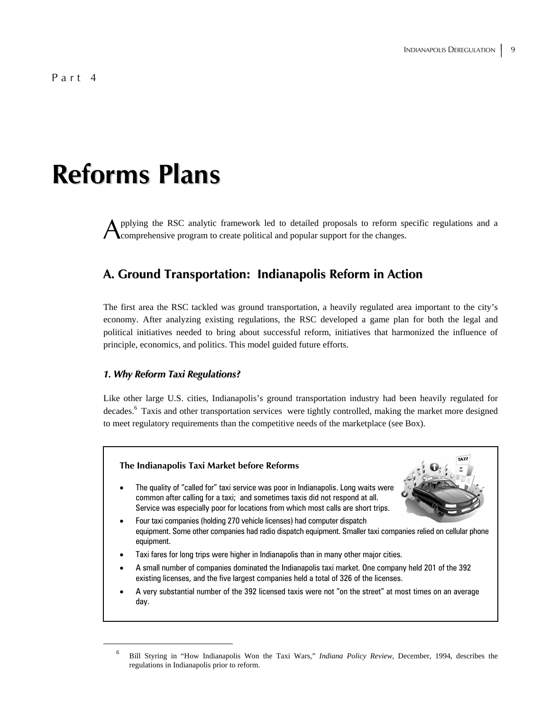## **Reforms Plans**

pplying the RSC analytic framework led to detailed proposals to reform specific regulations and a comprehensive program to create political and popular support for the changes. A

## **A. Ground Transportation: Indianapolis Reform in Action**

The first area the RSC tackled was ground transportation, a heavily regulated area important to the city's economy. After analyzing existing regulations, the RSC developed a game plan for both the legal and political initiatives needed to bring about successful reform, initiatives that harmonized the influence of principle, economics, and politics. This model guided future efforts.

#### *1. Why Reform Taxi Regulations?*

Like other large U.S. cities, Indianapolis's ground transportation industry had been heavily regulated for decades.<sup>6</sup> Taxis and other transportation services were tightly controlled, making the market more designed to meet regulatory requirements than the competitive needs of the marketplace (see Box).

#### **The Indianapolis Taxi Market before Reforms**

The quality of "called for" taxi service was poor in Indianapolis. Long waits were common after calling for a taxi; and sometimes taxis did not respond at all. Service was especially poor for locations from which most calls are short trips.



- Four taxi companies (holding 270 vehicle licenses) had computer dispatch equipment. Some other companies had radio dispatch equipment. Smaller taxi companies relied on cellular phone equipment.
- Taxi fares for long trips were higher in Indianapolis than in many other major cities.
- A small number of companies dominated the Indianapolis taxi market. One company held 201 of the 392 existing licenses, and the five largest companies held a total of 326 of the licenses.
- A very substantial number of the 392 licensed taxis were not "on the street" at most times on an average day.

 <sup>6</sup> Bill Styring in "How Indianapolis Won the Taxi Wars," *Indiana Policy Review*, December, 1994, describes the regulations in Indianapolis prior to reform.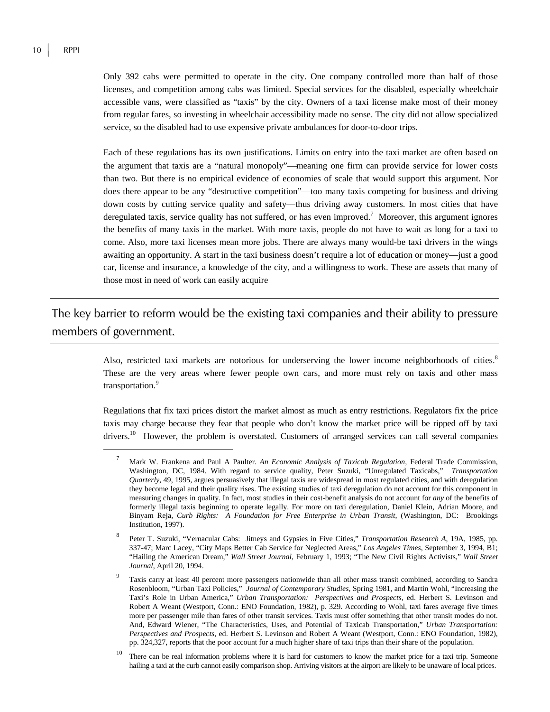Only 392 cabs were permitted to operate in the city. One company controlled more than half of those licenses, and competition among cabs was limited. Special services for the disabled, especially wheelchair accessible vans, were classified as "taxis" by the city. Owners of a taxi license make most of their money from regular fares, so investing in wheelchair accessibility made no sense. The city did not allow specialized service, so the disabled had to use expensive private ambulances for door-to-door trips.

Each of these regulations has its own justifications. Limits on entry into the taxi market are often based on the argument that taxis are a "natural monopoly"—meaning one firm can provide service for lower costs than two. But there is no empirical evidence of economies of scale that would support this argument. Nor does there appear to be any "destructive competition"—too many taxis competing for business and driving down costs by cutting service quality and safety—thus driving away customers. In most cities that have deregulated taxis, service quality has not suffered, or has even improved.<sup>7</sup> Moreover, this argument ignores the benefits of many taxis in the market. With more taxis, people do not have to wait as long for a taxi to come. Also, more taxi licenses mean more jobs. There are always many would-be taxi drivers in the wings awaiting an opportunity. A start in the taxi business doesn't require a lot of education or money—just a good car, license and insurance, a knowledge of the city, and a willingness to work. These are assets that many of those most in need of work can easily acquire

## The key barrier to reform would be the existing taxi companies and their ability to pressure members of government.

Also, restricted taxi markets are notorious for underserving the lower income neighborhoods of cities.<sup>8</sup> These are the very areas where fewer people own cars, and more must rely on taxis and other mass transportation.<sup>9</sup>

Regulations that fix taxi prices distort the market almost as much as entry restrictions. Regulators fix the price taxis may charge because they fear that people who don't know the market price will be ripped off by taxi drivers.<sup>10</sup> However, the problem is overstated. Customers of arranged services can call several companies

 <sup>7</sup> Mark W. Frankena and Paul A Paulter. *An Economic Analysis of Taxicab Regulation,* Federal Trade Commission, Washington, DC, 1984. With regard to service quality, Peter Suzuki, "Unregulated Taxicabs," *Transportation Quarterly*, 49, 1995, argues persuasively that illegal taxis are widespread in most regulated cities, and with deregulation they become legal and their quality rises. The existing studies of taxi deregulation do not account for this component in measuring changes in quality. In fact, most studies in their cost-benefit analysis do not account for *any* of the benefits of formerly illegal taxis beginning to operate legally. For more on taxi deregulation, Daniel Klein, Adrian Moore, and Binyam Reja, *Curb Rights: A Foundation for Free Enterprise in Urban Transit*, (Washington, DC: Brookings Institution, 1997).

<sup>8</sup> Peter T. Suzuki, "Vernacular Cabs: Jitneys and Gypsies in Five Cities," *Transportation Research A*, 19A, 1985, pp. 337-47; Marc Lacey, "City Maps Better Cab Service for Neglected Areas," *Los Angeles Times*, September 3, 1994, B1; "Hailing the American Dream," *Wall Street Journal*, February 1, 1993; "The New Civil Rights Activists," *Wall Street Journal*, April 20, 1994.

<sup>9</sup> Taxis carry at least 40 percent more passengers nationwide than all other mass transit combined, according to Sandra Rosenbloom, "Urban Taxi Policies," *Journal of Contemporary Studies*, Spring 1981, and Martin Wohl, "Increasing the Taxi's Role in Urban America," *Urban Transportation: Perspectives and Prospects*, ed. Herbert S. Levinson and Robert A Weant (Westport, Conn.: ENO Foundation, 1982), p. 329. According to Wohl, taxi fares average five times more per passenger mile than fares of other transit services. Taxis must offer something that other transit modes do not. And, Edward Wiener, "The Characteristics, Uses, and Potential of Taxicab Transportation," *Urban Transportation: Perspectives and Prospects*, ed. Herbert S. Levinson and Robert A Weant (Westport, Conn.: ENO Foundation, 1982), pp. 324,327, reports that the poor account for a much higher share of taxi trips than their share of the population.

<sup>&</sup>lt;sup>10</sup> There can be real information problems where it is hard for customers to know the market price for a taxi trip. Someone hailing a taxi at the curb cannot easily comparison shop. Arriving visitors at the airport are likely to be unaware of local prices.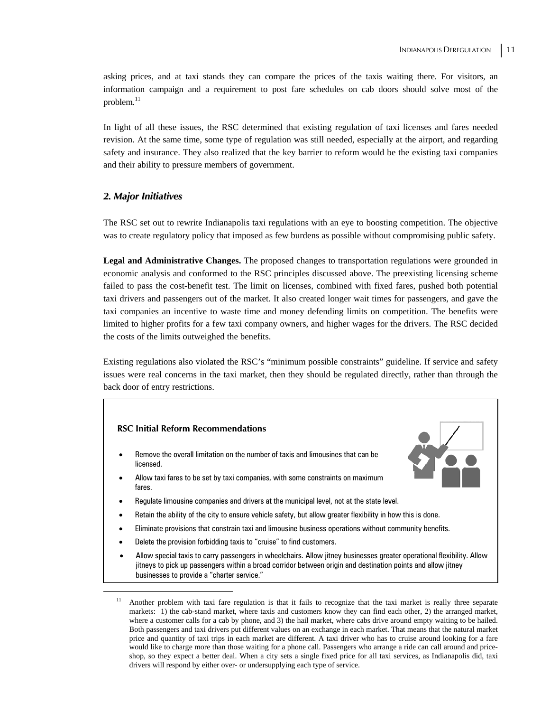asking prices, and at taxi stands they can compare the prices of the taxis waiting there. For visitors, an information campaign and a requirement to post fare schedules on cab doors should solve most of the problem. $11$ 

In light of all these issues, the RSC determined that existing regulation of taxi licenses and fares needed revision. At the same time, some type of regulation was still needed, especially at the airport, and regarding safety and insurance. They also realized that the key barrier to reform would be the existing taxi companies and their ability to pressure members of government.

#### *2. Major Initiatives*

The RSC set out to rewrite Indianapolis taxi regulations with an eye to boosting competition. The objective was to create regulatory policy that imposed as few burdens as possible without compromising public safety.

**Legal and Administrative Changes.** The proposed changes to transportation regulations were grounded in economic analysis and conformed to the RSC principles discussed above. The preexisting licensing scheme failed to pass the cost-benefit test. The limit on licenses, combined with fixed fares, pushed both potential taxi drivers and passengers out of the market. It also created longer wait times for passengers, and gave the taxi companies an incentive to waste time and money defending limits on competition. The benefits were limited to higher profits for a few taxi company owners, and higher wages for the drivers. The RSC decided the costs of the limits outweighed the benefits.

Existing regulations also violated the RSC's "minimum possible constraints" guideline. If service and safety issues were real concerns in the taxi market, then they should be regulated directly, rather than through the back door of entry restrictions.

#### **RSC Initial Reform Recommendations**

- Remove the overall limitation on the number of taxis and limousines that can be licensed.
- Allow taxi fares to be set by taxi companies, with some constraints on maximum fares.
- 
- Regulate limousine companies and drivers at the municipal level, not at the state level.
- Retain the ability of the city to ensure vehicle safety, but allow greater flexibility in how this is done.
- Eliminate provisions that constrain taxi and limousine business operations without community benefits.
- Delete the provision forbidding taxis to "cruise" to find customers.
- Allow special taxis to carry passengers in wheelchairs. Allow jitney businesses greater operational flexibility. Allow jitneys to pick up passengers within a broad corridor between origin and destination points and allow jitney businesses to provide a "charter service."

<sup>&</sup>lt;sup>11</sup> Another problem with taxi fare regulation is that it fails to recognize that the taxi market is really three separate markets: 1) the cab-stand market, where taxis and customers know they can find each other, 2) the arranged market, where a customer calls for a cab by phone, and 3) the hail market, where cabs drive around empty waiting to be hailed. Both passengers and taxi drivers put different values on an exchange in each market. That means that the natural market price and quantity of taxi trips in each market are different. A taxi driver who has to cruise around looking for a fare would like to charge more than those waiting for a phone call. Passengers who arrange a ride can call around and priceshop, so they expect a better deal. When a city sets a single fixed price for all taxi services, as Indianapolis did, taxi drivers will respond by either over- or undersupplying each type of service.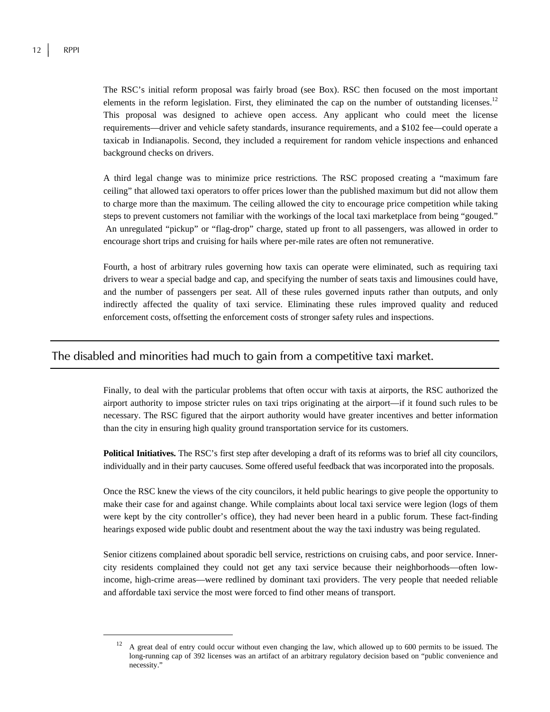The RSC's initial reform proposal was fairly broad (see Box). RSC then focused on the most important elements in the reform legislation. First, they eliminated the cap on the number of outstanding licenses.<sup>12</sup> This proposal was designed to achieve open access. Any applicant who could meet the license requirements—driver and vehicle safety standards, insurance requirements, and a \$102 fee—could operate a taxicab in Indianapolis. Second, they included a requirement for random vehicle inspections and enhanced background checks on drivers.

A third legal change was to minimize price restrictions*.* The RSC proposed creating a "maximum fare ceiling" that allowed taxi operators to offer prices lower than the published maximum but did not allow them to charge more than the maximum. The ceiling allowed the city to encourage price competition while taking steps to prevent customers not familiar with the workings of the local taxi marketplace from being "gouged." An unregulated "pickup" or "flag-drop" charge, stated up front to all passengers, was allowed in order to encourage short trips and cruising for hails where per-mile rates are often not remunerative.

Fourth, a host of arbitrary rules governing how taxis can operate were eliminated, such as requiring taxi drivers to wear a special badge and cap, and specifying the number of seats taxis and limousines could have, and the number of passengers per seat. All of these rules governed inputs rather than outputs, and only indirectly affected the quality of taxi service. Eliminating these rules improved quality and reduced enforcement costs, offsetting the enforcement costs of stronger safety rules and inspections.

### The disabled and minorities had much to gain from a competitive taxi market.

Finally, to deal with the particular problems that often occur with taxis at airports, the RSC authorized the airport authority to impose stricter rules on taxi trips originating at the airport—if it found such rules to be necessary. The RSC figured that the airport authority would have greater incentives and better information than the city in ensuring high quality ground transportation service for its customers.

**Political Initiatives.** The RSC's first step after developing a draft of its reforms was to brief all city councilors, individually and in their party caucuses. Some offered useful feedback that was incorporated into the proposals.

Once the RSC knew the views of the city councilors, it held public hearings to give people the opportunity to make their case for and against change. While complaints about local taxi service were legion (logs of them were kept by the city controller's office), they had never been heard in a public forum. These fact-finding hearings exposed wide public doubt and resentment about the way the taxi industry was being regulated.

Senior citizens complained about sporadic bell service, restrictions on cruising cabs, and poor service. Innercity residents complained they could not get any taxi service because their neighborhoods—often lowincome, high-crime areas—were redlined by dominant taxi providers. The very people that needed reliable and affordable taxi service the most were forced to find other means of transport.

 $12$  A great deal of entry could occur without even changing the law, which allowed up to 600 permits to be issued. The long-running cap of 392 licenses was an artifact of an arbitrary regulatory decision based on "public convenience and necessity."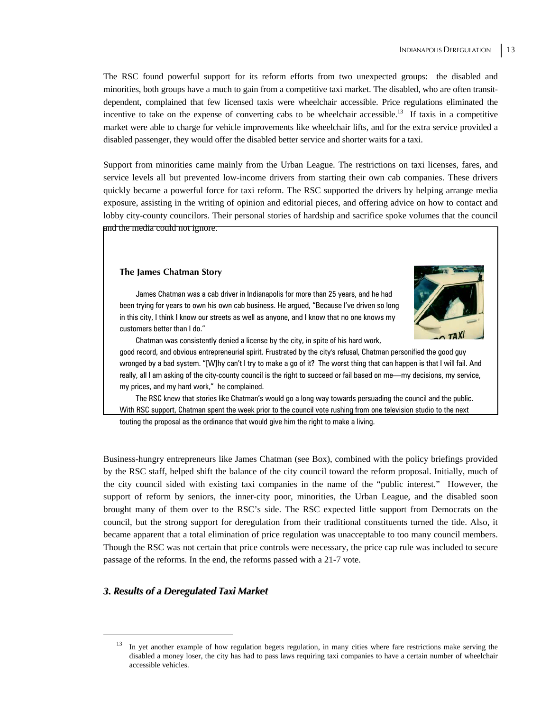The RSC found powerful support for its reform efforts from two unexpected groups: the disabled and minorities, both groups have a much to gain from a competitive taxi market. The disabled, who are often transitdependent, complained that few licensed taxis were wheelchair accessible. Price regulations eliminated the incentive to take on the expense of converting cabs to be wheelchair accessible.<sup>13</sup> If taxis in a competitive market were able to charge for vehicle improvements like wheelchair lifts, and for the extra service provided a disabled passenger, they would offer the disabled better service and shorter waits for a taxi.

Support from minorities came mainly from the Urban League. The restrictions on taxi licenses, fares, and service levels all but prevented low-income drivers from starting their own cab companies. These drivers quickly became a powerful force for taxi reform. The RSC supported the drivers by helping arrange media exposure, assisting in the writing of opinion and editorial pieces, and offering advice on how to contact and lobby city-county councilors. Their personal stories of hardship and sacrifice spoke volumes that the council and the media could not ignore.

#### **The James Chatman Story**



James Chatman was a cab driver in Indianapolis for more than 25 years, and he had been trying for years to own his own cab business. He argued, "Because I've driven so long in this city, I think I know our streets as well as anyone, and I know that no one knows my customers better than I do."

Chatman was consistently denied a license by the city, in spite of his hard work,

good record, and obvious entrepreneurial spirit. Frustrated by the city's refusal, Chatman personified the good guy wronged by a bad system. "[W]hy can't I try to make a go of it? The worst thing that can happen is that I will fail. And really, all I am asking of the city-county council is the right to succeed or fail based on me—my decisions, my service, my prices, and my hard work," he complained.

The RSC knew that stories like Chatman's would go a long way towards persuading the council and the public. With RSC support, Chatman spent the week prior to the council vote rushing from one television studio to the next

touting the proposal as the ordinance that would give him the right to make a living.

Business-hungry entrepreneurs like James Chatman (see Box), combined with the policy briefings provided by the RSC staff, helped shift the balance of the city council toward the reform proposal. Initially, much of the city council sided with existing taxi companies in the name of the "public interest." However, the support of reform by seniors, the inner-city poor, minorities, the Urban League, and the disabled soon brought many of them over to the RSC's side. The RSC expected little support from Democrats on the council, but the strong support for deregulation from their traditional constituents turned the tide. Also, it became apparent that a total elimination of price regulation was unacceptable to too many council members. Though the RSC was not certain that price controls were necessary, the price cap rule was included to secure passage of the reforms. In the end, the reforms passed with a 21-7 vote.

#### *3. Results of a Deregulated Taxi Market*

 $13$  In yet another example of how regulation begets regulation, in many cities where fare restrictions make serving the disabled a money loser, the city has had to pass laws requiring taxi companies to have a certain number of wheelchair accessible vehicles.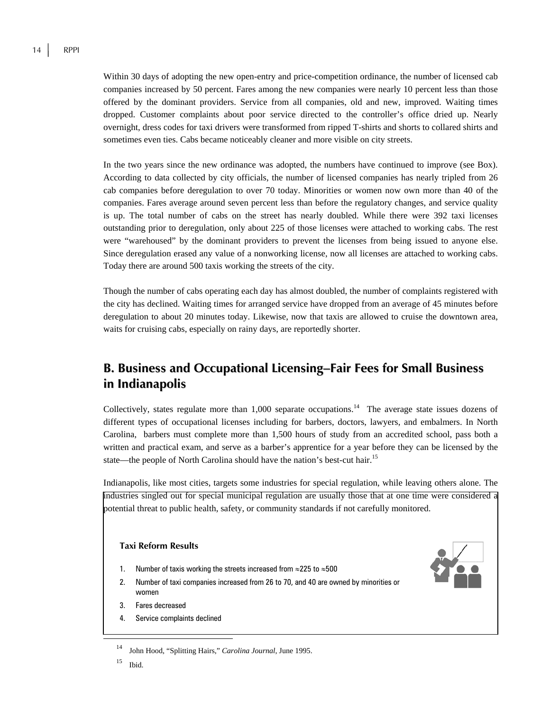Within 30 days of adopting the new open-entry and price-competition ordinance, the number of licensed cab companies increased by 50 percent. Fares among the new companies were nearly 10 percent less than those offered by the dominant providers. Service from all companies, old and new, improved. Waiting times dropped. Customer complaints about poor service directed to the controller's office dried up. Nearly overnight, dress codes for taxi drivers were transformed from ripped T-shirts and shorts to collared shirts and sometimes even ties. Cabs became noticeably cleaner and more visible on city streets.

In the two years since the new ordinance was adopted, the numbers have continued to improve (see Box). According to data collected by city officials, the number of licensed companies has nearly tripled from 26 cab companies before deregulation to over 70 today. Minorities or women now own more than 40 of the companies. Fares average around seven percent less than before the regulatory changes, and service quality is up. The total number of cabs on the street has nearly doubled. While there were 392 taxi licenses outstanding prior to deregulation, only about 225 of those licenses were attached to working cabs. The rest were "warehoused" by the dominant providers to prevent the licenses from being issued to anyone else. Since deregulation erased any value of a nonworking license, now all licenses are attached to working cabs. Today there are around 500 taxis working the streets of the city.

Though the number of cabs operating each day has almost doubled, the number of complaints registered with the city has declined. Waiting times for arranged service have dropped from an average of 45 minutes before deregulation to about 20 minutes today. Likewise, now that taxis are allowed to cruise the downtown area, waits for cruising cabs, especially on rainy days, are reportedly shorter.

## **B. Business and Occupational Licensing**−**Fair Fees for Small Business in Indianapolis**

Collectively, states regulate more than  $1,000$  separate occupations.<sup>14</sup> The average state issues dozens of different types of occupational licenses including for barbers, doctors, lawyers, and embalmers. In North Carolina, barbers must complete more than 1,500 hours of study from an accredited school, pass both a written and practical exam, and serve as a barber's apprentice for a year before they can be licensed by the state—the people of North Carolina should have the nation's best-cut hair.<sup>15</sup>

Indianapolis, like most cities, targets some industries for special regulation, while leaving others alone. The industries singled out for special municipal regulation are usually those that at one time were considered a potential threat to public health, safety, or community standards if not carefully monitored.

#### **Taxi Reform Results**

- 1. Number of taxis working the streets increased from ≈225 to ≈500
- 2. Number of taxi companies increased from 26 to 70, and 40 are owned by minorities or women
- 3. Fares decreased
- 4. Service complaints declined



 <sup>14</sup> John Hood, "Splitting Hairs," *Carolina Journal*, June 1995.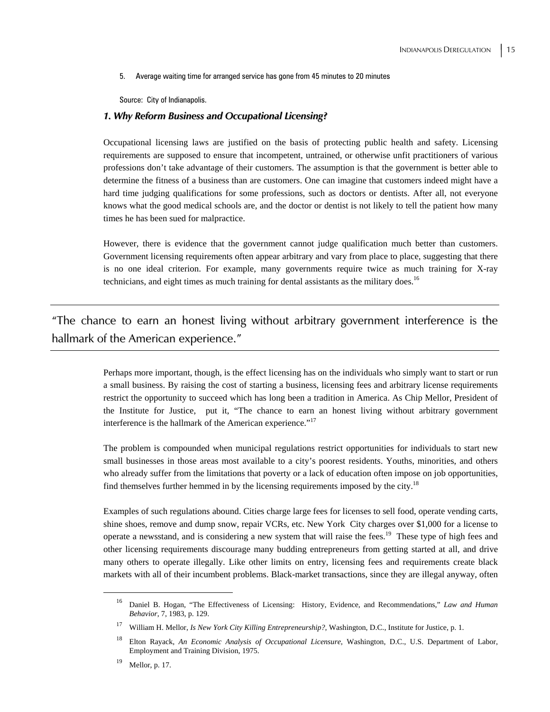5. Average waiting time for arranged service has gone from 45 minutes to 20 minutes

Source: City of Indianapolis.

#### *1. Why Reform Business and Occupational Licensing?*

Occupational licensing laws are justified on the basis of protecting public health and safety. Licensing requirements are supposed to ensure that incompetent, untrained, or otherwise unfit practitioners of various professions don't take advantage of their customers. The assumption is that the government is better able to determine the fitness of a business than are customers. One can imagine that customers indeed might have a hard time judging qualifications for some professions, such as doctors or dentists. After all, not everyone knows what the good medical schools are, and the doctor or dentist is not likely to tell the patient how many times he has been sued for malpractice.

However, there is evidence that the government cannot judge qualification much better than customers. Government licensing requirements often appear arbitrary and vary from place to place, suggesting that there is no one ideal criterion. For example, many governments require twice as much training for X-ray technicians, and eight times as much training for dental assistants as the military does.<sup>16</sup>

"The chance to earn an honest living without arbitrary government interference is the hallmark of the American experience."

> Perhaps more important, though, is the effect licensing has on the individuals who simply want to start or run a small business. By raising the cost of starting a business, licensing fees and arbitrary license requirements restrict the opportunity to succeed which has long been a tradition in America. As Chip Mellor, President of the Institute for Justice, put it, "The chance to earn an honest living without arbitrary government interference is the hallmark of the American experience."<sup>17</sup>

> The problem is compounded when municipal regulations restrict opportunities for individuals to start new small businesses in those areas most available to a city's poorest residents. Youths, minorities, and others who already suffer from the limitations that poverty or a lack of education often impose on job opportunities, find themselves further hemmed in by the licensing requirements imposed by the city.<sup>18</sup>

> Examples of such regulations abound. Cities charge large fees for licenses to sell food, operate vending carts, shine shoes, remove and dump snow, repair VCRs, etc. New York City charges over \$1,000 for a license to operate a newsstand, and is considering a new system that will raise the fees.19 These type of high fees and other licensing requirements discourage many budding entrepreneurs from getting started at all, and drive many others to operate illegally. Like other limits on entry, licensing fees and requirements create black markets with all of their incumbent problems. Black-market transactions, since they are illegal anyway, often

 <sup>16</sup> Daniel B. Hogan, "The Effectiveness of Licensing: History, Evidence, and Recommendations," *Law and Human Behavior*, 7, 1983, p. 129.

<sup>17</sup> William H. Mellor, *Is New York City Killing Entrepreneurship?*, Washington, D.C., Institute for Justice, p. 1.

<sup>18</sup> Elton Rayack, *An Economic Analysis of Occupational Licensure*, Washington, D.C., U.S. Department of Labor, Employment and Training Division, 1975.

 $19$  Mellor, p. 17.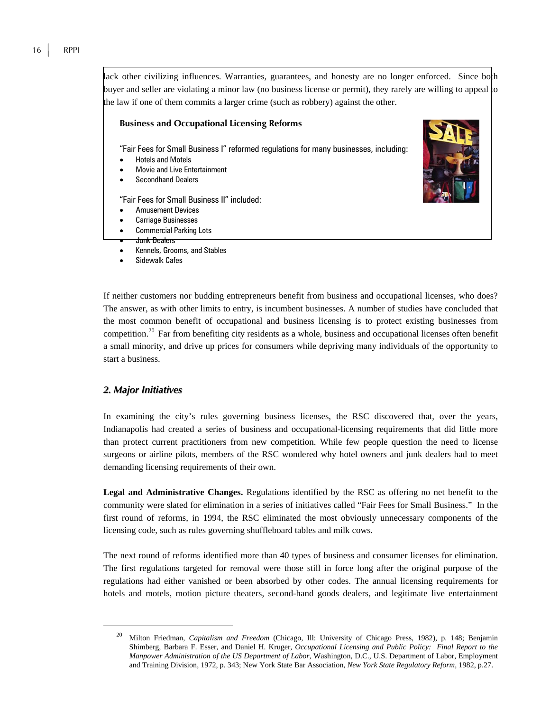lack other civilizing influences. Warranties, guarantees, and honesty are no longer enforced. Since both buyer and seller are violating a minor law (no business license or permit), they rarely are willing to appeal to the law if one of them commits a larger crime (such as robbery) against the other.

#### **Business and Occupational Licensing Reforms**

"Fair Fees for Small Business I" reformed regulations for many businesses, including:

- Hotels and Motels
- Movie and Live Entertainment
- Secondhand Dealers

"Fair Fees for Small Business II" included:

- Amusement Devices
- Carriage Businesses
- Commercial Parking Lots

#### • Junk Dealers

- Kennels, Grooms, and Stables
- Sidewalk Cafes

If neither customers nor budding entrepreneurs benefit from business and occupational licenses, who does? The answer, as with other limits to entry, is incumbent businesses. A number of studies have concluded that the most common benefit of occupational and business licensing is to protect existing businesses from competition.20 Far from benefiting city residents as a whole, business and occupational licenses often benefit a small minority, and drive up prices for consumers while depriving many individuals of the opportunity to start a business.

#### *2. Major Initiatives*

In examining the city's rules governing business licenses, the RSC discovered that, over the years, Indianapolis had created a series of business and occupational-licensing requirements that did little more than protect current practitioners from new competition. While few people question the need to license surgeons or airline pilots, members of the RSC wondered why hotel owners and junk dealers had to meet demanding licensing requirements of their own.

**Legal and Administrative Changes.** Regulations identified by the RSC as offering no net benefit to the community were slated for elimination in a series of initiatives called "Fair Fees for Small Business." In the first round of reforms, in 1994, the RSC eliminated the most obviously unnecessary components of the licensing code, such as rules governing shuffleboard tables and milk cows.

The next round of reforms identified more than 40 types of business and consumer licenses for elimination. The first regulations targeted for removal were those still in force long after the original purpose of the regulations had either vanished or been absorbed by other codes. The annual licensing requirements for hotels and motels, motion picture theaters, second-hand goods dealers, and legitimate live entertainment

 <sup>20</sup> Milton Friedman, *Capitalism and Freedom* (Chicago, Ill: University of Chicago Press, 1982), p. 148; Benjamin Shimberg, Barbara F. Esser, and Daniel H. Kruger, *Occupational Licensing and Public Policy: Final Report to the Manpower Administration of the US Department of Labor*, Washington, D.C., U.S. Department of Labor, Employment and Training Division, 1972, p. 343; New York State Bar Association, *New York State Regulatory Reform*, 1982, p.27.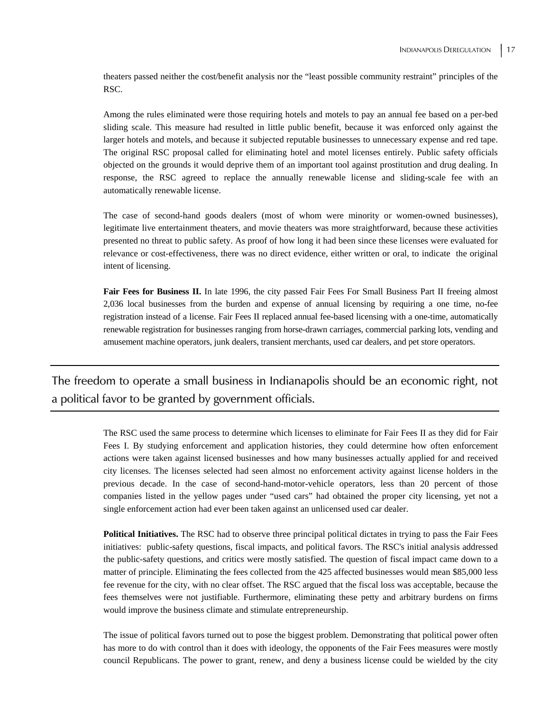theaters passed neither the cost/benefit analysis nor the "least possible community restraint" principles of the RSC.

Among the rules eliminated were those requiring hotels and motels to pay an annual fee based on a per-bed sliding scale. This measure had resulted in little public benefit, because it was enforced only against the larger hotels and motels, and because it subjected reputable businesses to unnecessary expense and red tape. The original RSC proposal called for eliminating hotel and motel licenses entirely. Public safety officials objected on the grounds it would deprive them of an important tool against prostitution and drug dealing. In response, the RSC agreed to replace the annually renewable license and sliding-scale fee with an automatically renewable license.

The case of second-hand goods dealers (most of whom were minority or women-owned businesses), legitimate live entertainment theaters, and movie theaters was more straightforward, because these activities presented no threat to public safety. As proof of how long it had been since these licenses were evaluated for relevance or cost-effectiveness, there was no direct evidence, either written or oral, to indicate the original intent of licensing.

Fair Fees for Business II. In late 1996, the city passed Fair Fees For Small Business Part II freeing almost 2,036 local businesses from the burden and expense of annual licensing by requiring a one time, no-fee registration instead of a license. Fair Fees II replaced annual fee-based licensing with a one-time, automatically renewable registration for businesses ranging from horse-drawn carriages, commercial parking lots, vending and amusement machine operators, junk dealers, transient merchants, used car dealers, and pet store operators.

The freedom to operate a small business in Indianapolis should be an economic right, not a political favor to be granted by government officials.

> The RSC used the same process to determine which licenses to eliminate for Fair Fees II as they did for Fair Fees I. By studying enforcement and application histories, they could determine how often enforcement actions were taken against licensed businesses and how many businesses actually applied for and received city licenses. The licenses selected had seen almost no enforcement activity against license holders in the previous decade. In the case of second-hand-motor-vehicle operators, less than 20 percent of those companies listed in the yellow pages under "used cars" had obtained the proper city licensing, yet not a single enforcement action had ever been taken against an unlicensed used car dealer.

> **Political Initiatives.** The RSC had to observe three principal political dictates in trying to pass the Fair Fees initiatives: public-safety questions, fiscal impacts, and political favors. The RSC's initial analysis addressed the public-safety questions, and critics were mostly satisfied. The question of fiscal impact came down to a matter of principle. Eliminating the fees collected from the 425 affected businesses would mean \$85,000 less fee revenue for the city, with no clear offset. The RSC argued that the fiscal loss was acceptable, because the fees themselves were not justifiable. Furthermore, eliminating these petty and arbitrary burdens on firms would improve the business climate and stimulate entrepreneurship.

> The issue of political favors turned out to pose the biggest problem. Demonstrating that political power often has more to do with control than it does with ideology, the opponents of the Fair Fees measures were mostly council Republicans. The power to grant, renew, and deny a business license could be wielded by the city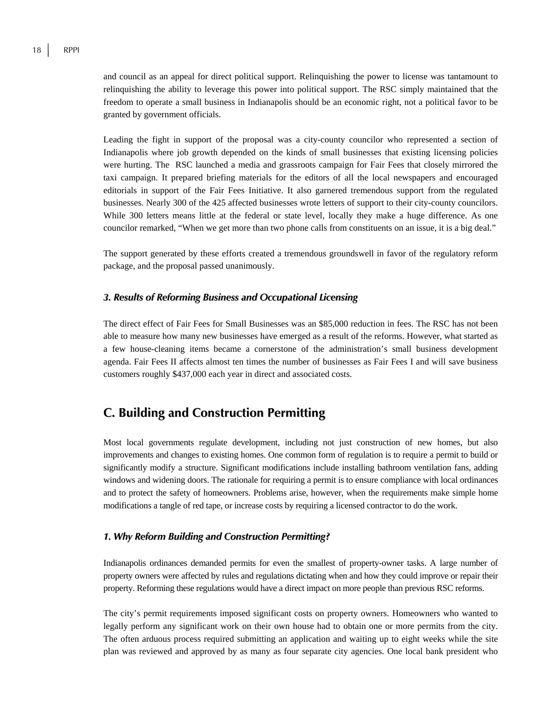and council as an appeal for direct political support. Relinquishing the power to license was tantamount to relinquishing the ability to leverage this power into political support. The RSC simply maintained that the freedom to operate a small business in Indianapolis should be an economic right, not a political favor to be granted by government officials.

Leading the fight in support of the proposal was a city-county councilor who represented a section of Indianapolis where job growth depended on the kinds of small businesses that existing licensing policies were hurting. The RSC launched a media and grassroots campaign for Fair Fees that closely mirrored the taxi campaign. It prepared briefing materials for the editors of all the local newspapers and encouraged editorials in support of the Fair Fees Initiative. It also garnered tremendous support from the regulated businesses. Nearly 300 of the 425 affected businesses wrote letters of support to their city-county councilors. While 300 letters means little at the federal or state level, locally they make a huge difference. As one councilor remarked, "When we get more than two phone calls from constituents on an issue, it is a big deal."

The support generated by these efforts created a tremendous groundswell in favor of the regulatory reform package, and the proposal passed unanimously.

#### *3. Results of Reforming Business and Occupational Licensing*

The direct effect of Fair Fees for Small Businesses was an \$85,000 reduction in fees. The RSC has not been able to measure how many new businesses have emerged as a result of the reforms. However, what started as a few house-cleaning items became a cornerstone of the administration's small business development agenda. Fair Fees II affects almost ten times the number of businesses as Fair Fees I and will save business customers roughly \$437,000 each year in direct and associated costs.

## **C. Building and Construction Permitting**

Most local governments regulate development, including not just construction of new homes, but also improvements and changes to existing homes. One common form of regulation is to require a permit to build or significantly modify a structure. Significant modifications include installing bathroom ventilation fans, adding windows and widening doors. The rationale for requiring a permit is to ensure compliance with local ordinances and to protect the safety of homeowners. Problems arise, however, when the requirements make simple home modifications a tangle of red tape, or increase costs by requiring a licensed contractor to do the work.

#### *1. Why Reform Building and Construction Permitting?*

Indianapolis ordinances demanded permits for even the smallest of property-owner tasks. A large number of property owners were affected by rules and regulations dictating when and how they could improve or repair their property. Reforming these regulations would have a direct impact on more people than previous RSC reforms.

The city's permit requirements imposed significant costs on property owners. Homeowners who wanted to legally perform any significant work on their own house had to obtain one or more permits from the city. The often arduous process required submitting an application and waiting up to eight weeks while the site plan was reviewed and approved by as many as four separate city agencies. One local bank president who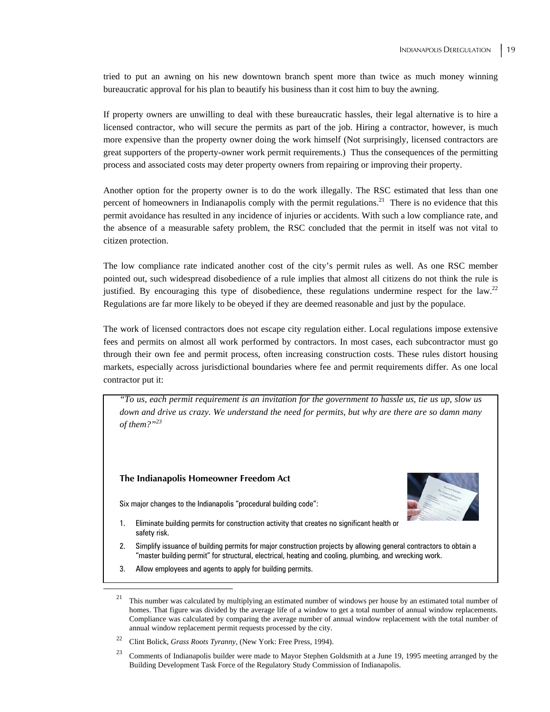tried to put an awning on his new downtown branch spent more than twice as much money winning bureaucratic approval for his plan to beautify his business than it cost him to buy the awning.

If property owners are unwilling to deal with these bureaucratic hassles, their legal alternative is to hire a licensed contractor, who will secure the permits as part of the job. Hiring a contractor, however, is much more expensive than the property owner doing the work himself (Not surprisingly, licensed contractors are great supporters of the property-owner work permit requirements.) Thus the consequences of the permitting process and associated costs may deter property owners from repairing or improving their property.

Another option for the property owner is to do the work illegally. The RSC estimated that less than one percent of homeowners in Indianapolis comply with the permit regulations.<sup>21</sup> There is no evidence that this permit avoidance has resulted in any incidence of injuries or accidents. With such a low compliance rate, and the absence of a measurable safety problem, the RSC concluded that the permit in itself was not vital to citizen protection.

The low compliance rate indicated another cost of the city's permit rules as well. As one RSC member pointed out, such widespread disobedience of a rule implies that almost all citizens do not think the rule is justified. By encouraging this type of disobedience, these regulations undermine respect for the law.<sup>22</sup> Regulations are far more likely to be obeyed if they are deemed reasonable and just by the populace.

The work of licensed contractors does not escape city regulation either. Local regulations impose extensive fees and permits on almost all work performed by contractors. In most cases, each subcontractor must go through their own fee and permit process, often increasing construction costs. These rules distort housing markets, especially across jurisdictional boundaries where fee and permit requirements differ. As one local contractor put it:

*"To us, each permit requirement is an invitation for the government to hassle us, tie us up, slow us down and drive us crazy. We understand the need for permits, but why are there are so damn many of them?"23*

#### **The Indianapolis Homeowner Freedom Act**

Six major changes to the Indianapolis "procedural building code":



- 1. Eliminate building permits for construction activity that creates no significant health or safety risk.
- 2. Simplify issuance of building permits for major construction projects by allowing general contractors to obtain a "master building permit" for structural, electrical, heating and cooling, plumbing, and wrecking work.
- 3. Allow employees and agents to apply for building permits.

 $21$  This number was calculated by multiplying an estimated number of windows per house by an estimated total number of homes. That figure was divided by the average life of a window to get a total number of annual window replacements. Compliance was calculated by comparing the average number of annual window replacement with the total number of annual window replacement permit requests processed by the city.

<sup>22</sup> Clint Bolick, *Grass Roots Tyranny*, (New York: Free Press, 1994).

<sup>&</sup>lt;sup>23</sup> Comments of Indianapolis builder were made to Mayor Stephen Goldsmith at a June 19, 1995 meeting arranged by the Building Development Task Force of the Regulatory Study Commission of Indianapolis.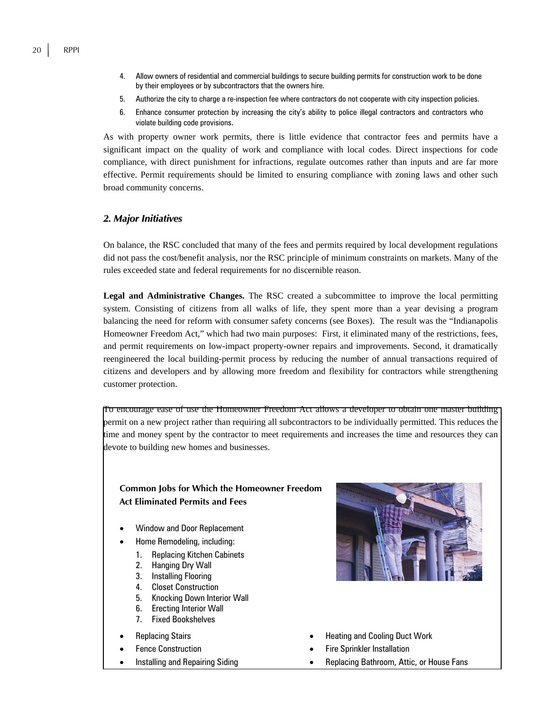- 4. Allow owners of residential and commercial buildings to secure building permits for construction work to be done by their employees or by subcontractors that the owners hire.
- 5. Authorize the city to charge a re-inspection fee where contractors do not cooperate with city inspection policies.
- 6. Enhance consumer protection by increasing the city's ability to police illegal contractors and contractors who violate building code provisions.

As with property owner work permits, there is little evidence that contractor fees and permits have a significant impact on the quality of work and compliance with local codes. Direct inspections for code compliance, with direct punishment for infractions, regulate outcomes rather than inputs and are far more effective. Permit requirements should be limited to ensuring compliance with zoning laws and other such broad community concerns.

#### *2. Major Initiatives*

On balance, the RSC concluded that many of the fees and permits required by local development regulations did not pass the cost/benefit analysis, nor the RSC principle of minimum constraints on markets. Many of the rules exceeded state and federal requirements for no discernible reason.

**Legal and Administrative Changes.** The RSC created a subcommittee to improve the local permitting system. Consisting of citizens from all walks of life, they spent more than a year devising a program balancing the need for reform with consumer safety concerns (see Boxes). The result was the "Indianapolis Homeowner Freedom Act," which had two main purposes: First, it eliminated many of the restrictions, fees, and permit requirements on low-impact property-owner repairs and improvements. Second, it dramatically reengineered the local building-permit process by reducing the number of annual transactions required of citizens and developers and by allowing more freedom and flexibility for contractors while strengthening customer protection.

To encourage ease of use the Homeowner Freedom Act allows a developer to obtain one master building permit on a new project rather than requiring all subcontractors to be individually permitted. This reduces the time and money spent by the contractor to meet requirements and increases the time and resources they can devote to building new homes and businesses.

#### **Common Jobs for Which the Homeowner Freedom Act Eliminated Permits and Fees**

- Window and Door Replacement
- Home Remodeling, including:
	- 1. Replacing Kitchen Cabinets
	- 2. Hanging Dry Wall
	- 3. Installing Flooring
	- 4. Closet Construction
	- 5. Knocking Down Interior Wall
	- 6. Erecting Interior Wall
	- 7. Fixed Bookshelves
- 
- 
- 



- **Replacing Stairs The Cooling Stairs Replacing Stairs Heating and Cooling Duct Work**
- Fence Construction **Figure 1** Fire Sprinkler Installation
- Installing and Repairing Siding **Fig. 2018** Replacing Bathroom, Attic, or House Fans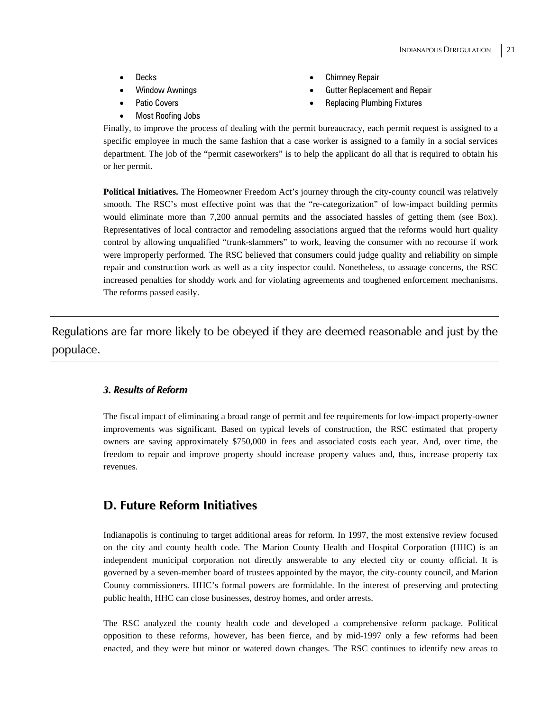- 
- 
- 
- Most Roofing Jobs
- **Decks** Chimney Repair
- Window Awnings  **Cultum Gutter Replacement and Repair**
- Patio Covers  **Patio Covers** Replacing Plumbing Fixtures
- 

Finally, to improve the process of dealing with the permit bureaucracy, each permit request is assigned to a specific employee in much the same fashion that a case worker is assigned to a family in a social services department. The job of the "permit caseworkers" is to help the applicant do all that is required to obtain his or her permit.

**Political Initiatives.** The Homeowner Freedom Act's journey through the city-county council was relatively smooth. The RSC's most effective point was that the "re-categorization" of low-impact building permits would eliminate more than 7,200 annual permits and the associated hassles of getting them (see Box). Representatives of local contractor and remodeling associations argued that the reforms would hurt quality control by allowing unqualified "trunk-slammers" to work, leaving the consumer with no recourse if work were improperly performed. The RSC believed that consumers could judge quality and reliability on simple repair and construction work as well as a city inspector could. Nonetheless, to assuage concerns, the RSC increased penalties for shoddy work and for violating agreements and toughened enforcement mechanisms. The reforms passed easily.

Regulations are far more likely to be obeyed if they are deemed reasonable and just by the populace.

#### *3. Results of Reform*

The fiscal impact of eliminating a broad range of permit and fee requirements for low-impact property-owner improvements was significant. Based on typical levels of construction, the RSC estimated that property owners are saving approximately \$750,000 in fees and associated costs each year. And, over time, the freedom to repair and improve property should increase property values and, thus, increase property tax revenues.

### **D. Future Reform Initiatives**

Indianapolis is continuing to target additional areas for reform. In 1997, the most extensive review focused on the city and county health code. The Marion County Health and Hospital Corporation (HHC) is an independent municipal corporation not directly answerable to any elected city or county official. It is governed by a seven-member board of trustees appointed by the mayor, the city-county council, and Marion County commissioners. HHC's formal powers are formidable. In the interest of preserving and protecting public health, HHC can close businesses, destroy homes, and order arrests.

The RSC analyzed the county health code and developed a comprehensive reform package. Political opposition to these reforms, however, has been fierce, and by mid-1997 only a few reforms had been enacted, and they were but minor or watered down changes. The RSC continues to identify new areas to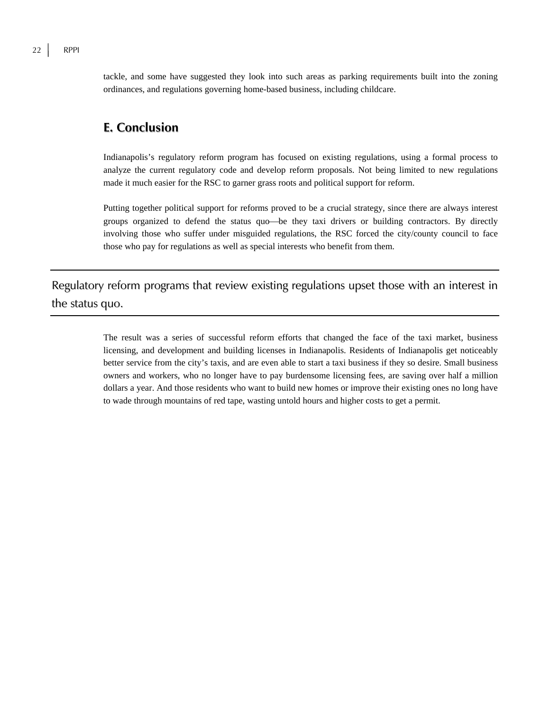tackle, and some have suggested they look into such areas as parking requirements built into the zoning ordinances, and regulations governing home-based business, including childcare.

### **E. Conclusion**

Indianapolis's regulatory reform program has focused on existing regulations, using a formal process to analyze the current regulatory code and develop reform proposals. Not being limited to new regulations made it much easier for the RSC to garner grass roots and political support for reform.

Putting together political support for reforms proved to be a crucial strategy, since there are always interest groups organized to defend the status quo—be they taxi drivers or building contractors. By directly involving those who suffer under misguided regulations, the RSC forced the city/county council to face those who pay for regulations as well as special interests who benefit from them.

Regulatory reform programs that review existing regulations upset those with an interest in the status quo.

> The result was a series of successful reform efforts that changed the face of the taxi market, business licensing, and development and building licenses in Indianapolis. Residents of Indianapolis get noticeably better service from the city's taxis, and are even able to start a taxi business if they so desire. Small business owners and workers, who no longer have to pay burdensome licensing fees, are saving over half a million dollars a year. And those residents who want to build new homes or improve their existing ones no long have to wade through mountains of red tape, wasting untold hours and higher costs to get a permit.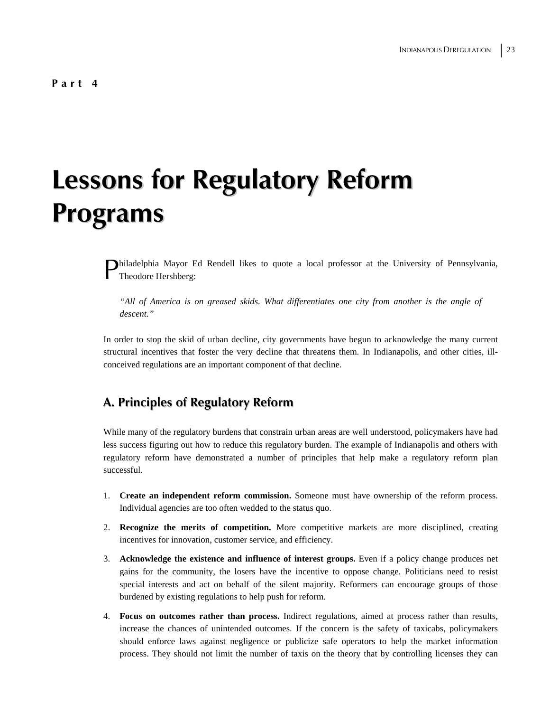## **Lessons for Regulatory Reform Programs**

Philadelphia Mayor Ed Rendell likes to quote a local professor at the University of Pennsylvania, Theodore Hershberg: Theodore Hershberg:

*"All of America is on greased skids. What differentiates one city from another is the angle of descent."* 

In order to stop the skid of urban decline, city governments have begun to acknowledge the many current structural incentives that foster the very decline that threatens them. In Indianapolis, and other cities, illconceived regulations are an important component of that decline.

## **A. Principles of Regulatory Reform**

While many of the regulatory burdens that constrain urban areas are well understood, policymakers have had less success figuring out how to reduce this regulatory burden. The example of Indianapolis and others with regulatory reform have demonstrated a number of principles that help make a regulatory reform plan successful.

- 1. **Create an independent reform commission.** Someone must have ownership of the reform process. Individual agencies are too often wedded to the status quo.
- 2. **Recognize the merits of competition.** More competitive markets are more disciplined, creating incentives for innovation, customer service, and efficiency.
- 3. **Acknowledge the existence and influence of interest groups.** Even if a policy change produces net gains for the community, the losers have the incentive to oppose change. Politicians need to resist special interests and act on behalf of the silent majority. Reformers can encourage groups of those burdened by existing regulations to help push for reform.
- 4. **Focus on outcomes rather than process.** Indirect regulations, aimed at process rather than results, increase the chances of unintended outcomes. If the concern is the safety of taxicabs, policymakers should enforce laws against negligence or publicize safe operators to help the market information process. They should not limit the number of taxis on the theory that by controlling licenses they can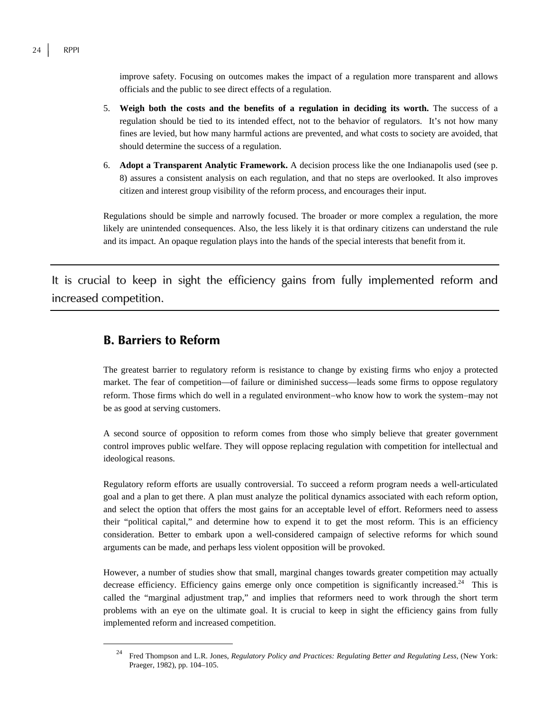improve safety. Focusing on outcomes makes the impact of a regulation more transparent and allows officials and the public to see direct effects of a regulation.

- 5. **Weigh both the costs and the benefits of a regulation in deciding its worth.** The success of a regulation should be tied to its intended effect, not to the behavior of regulators. It's not how many fines are levied, but how many harmful actions are prevented, and what costs to society are avoided, that should determine the success of a regulation.
- 6. **Adopt a Transparent Analytic Framework.** A decision process like the one Indianapolis used (see p. 8) assures a consistent analysis on each regulation, and that no steps are overlooked. It also improves citizen and interest group visibility of the reform process, and encourages their input.

Regulations should be simple and narrowly focused. The broader or more complex a regulation, the more likely are unintended consequences. Also, the less likely it is that ordinary citizens can understand the rule and its impact. An opaque regulation plays into the hands of the special interests that benefit from it.

It is crucial to keep in sight the efficiency gains from fully implemented reform and increased competition.

### **B. Barriers to Reform**

The greatest barrier to regulatory reform is resistance to change by existing firms who enjoy a protected market. The fear of competition—of failure or diminished success—leads some firms to oppose regulatory reform. Those firms which do well in a regulated environment−who know how to work the system−may not be as good at serving customers.

A second source of opposition to reform comes from those who simply believe that greater government control improves public welfare. They will oppose replacing regulation with competition for intellectual and ideological reasons.

Regulatory reform efforts are usually controversial. To succeed a reform program needs a well-articulated goal and a plan to get there. A plan must analyze the political dynamics associated with each reform option, and select the option that offers the most gains for an acceptable level of effort. Reformers need to assess their "political capital," and determine how to expend it to get the most reform. This is an efficiency consideration. Better to embark upon a well-considered campaign of selective reforms for which sound arguments can be made, and perhaps less violent opposition will be provoked.

However, a number of studies show that small, marginal changes towards greater competition may actually decrease efficiency. Efficiency gains emerge only once competition is significantly increased.<sup>24</sup> This is called the "marginal adjustment trap," and implies that reformers need to work through the short term problems with an eye on the ultimate goal. It is crucial to keep in sight the efficiency gains from fully implemented reform and increased competition.

 <sup>24</sup> Fred Thompson and L.R. Jones, *Regulatory Policy and Practices: Regulating Better and Regulating Less,* (New York: Praeger, 1982), pp. 104–105.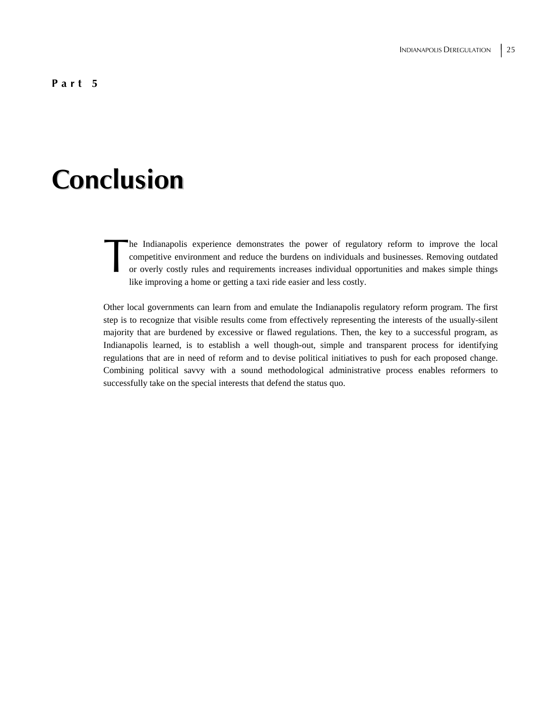#### **Part 5**

## **Conclusion**

he Indianapolis experience demonstrates the power of regulatory reform to improve the local competitive environment and reduce the burdens on individuals and businesses. Removing outdated or overly costly rules and requirements increases individual opportunities and makes simple things like improving a home or getting a taxi ride easier and less costly. The condensation of the condensation of the condensation of the condensation of the condensation of the condensation of the condensation of the condensation of the condensation of the condensation of the condensation of th

Other local governments can learn from and emulate the Indianapolis regulatory reform program. The first step is to recognize that visible results come from effectively representing the interests of the usually-silent majority that are burdened by excessive or flawed regulations. Then, the key to a successful program, as Indianapolis learned, is to establish a well though-out, simple and transparent process for identifying regulations that are in need of reform and to devise political initiatives to push for each proposed change. Combining political savvy with a sound methodological administrative process enables reformers to successfully take on the special interests that defend the status quo.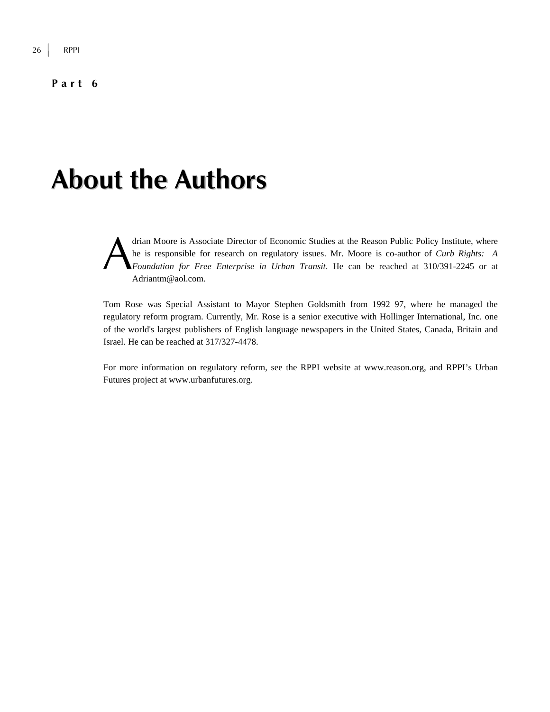#### **Part 6**

## **About the Authors**

drian Moore is Associate Director of Economic Studies at the Reason Public Policy Institute, where he is responsible for research on regulatory issues. Mr. Moore is co-author of *Curb Rights: A Foundation for Free Enterprise in Urban Transit*. He can be reached at 310/391-2245 or at Adriantm@aol.com. A

Tom Rose was Special Assistant to Mayor Stephen Goldsmith from 1992–97, where he managed the regulatory reform program. Currently, Mr. Rose is a senior executive with Hollinger International, Inc. one of the world's largest publishers of English language newspapers in the United States, Canada, Britain and Israel. He can be reached at 317/327-4478.

For more information on regulatory reform, see the RPPI website at www.reason.org, and RPPI's Urban Futures project at www.urbanfutures.org.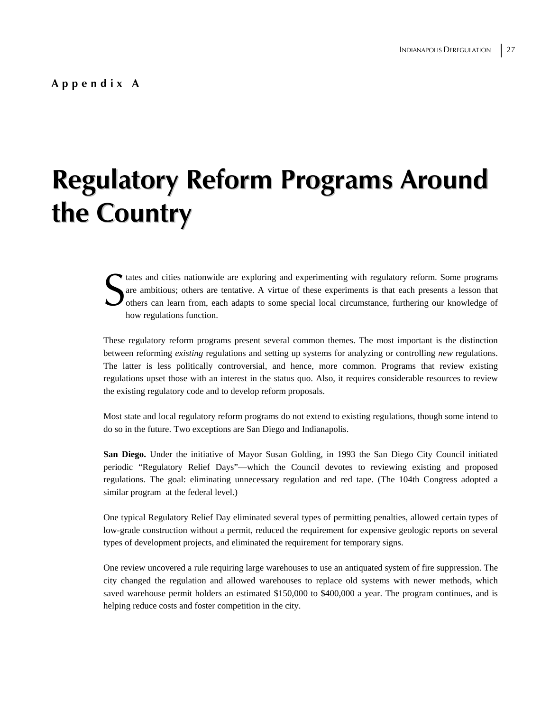# **Regulatory Reform Programs Around the Country**

That and cities nationwide are exploring and experimenting with regulatory reform. Some programs are ambitious; others are tentative. A virtue of these experiments is that each presents a lesson that others can learn from, are ambitious; others are tentative. A virtue of these experiments is that each presents a lesson that others can learn from, each adapts to some special local circumstance, furthering our knowledge of how regulations function.

These regulatory reform programs present several common themes. The most important is the distinction between reforming *existing* regulations and setting up systems for analyzing or controlling *new* regulations. The latter is less politically controversial, and hence, more common. Programs that review existing regulations upset those with an interest in the status quo. Also, it requires considerable resources to review the existing regulatory code and to develop reform proposals.

Most state and local regulatory reform programs do not extend to existing regulations, though some intend to do so in the future. Two exceptions are San Diego and Indianapolis.

**San Diego.** Under the initiative of Mayor Susan Golding, in 1993 the San Diego City Council initiated periodic "Regulatory Relief Days"—which the Council devotes to reviewing existing and proposed regulations. The goal: eliminating unnecessary regulation and red tape. (The 104th Congress adopted a similar program at the federal level.)

One typical Regulatory Relief Day eliminated several types of permitting penalties, allowed certain types of low-grade construction without a permit, reduced the requirement for expensive geologic reports on several types of development projects, and eliminated the requirement for temporary signs.

One review uncovered a rule requiring large warehouses to use an antiquated system of fire suppression. The city changed the regulation and allowed warehouses to replace old systems with newer methods, which saved warehouse permit holders an estimated \$150,000 to \$400,000 a year. The program continues, and is helping reduce costs and foster competition in the city.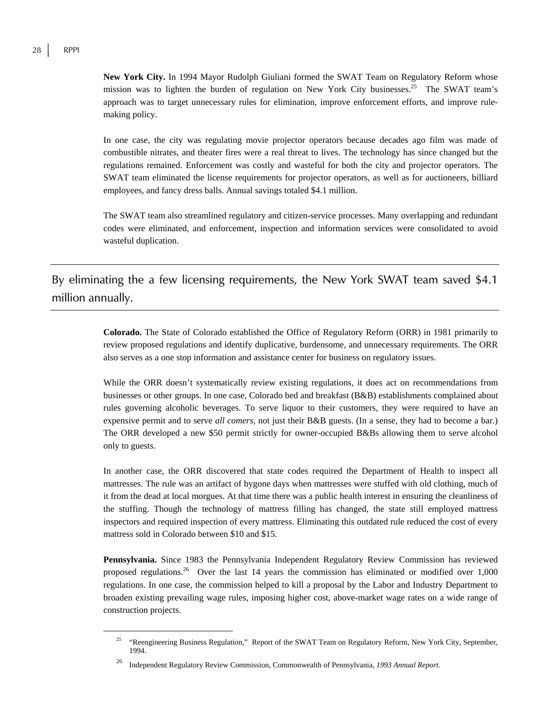**New York City.** In 1994 Mayor Rudolph Giuliani formed the SWAT Team on Regulatory Reform whose mission was to lighten the burden of regulation on New York City businesses.<sup>25</sup> The SWAT team's approach was to target unnecessary rules for elimination, improve enforcement efforts, and improve rulemaking policy.

In one case, the city was regulating movie projector operators because decades ago film was made of combustible nitrates, and theater fires were a real threat to lives. The technology has since changed but the regulations remained. Enforcement was costly and wasteful for both the city and projector operators. The SWAT team eliminated the license requirements for projector operators, as well as for auctioneers, billiard employees, and fancy dress balls. Annual savings totaled \$4.1 million.

The SWAT team also streamlined regulatory and citizen-service processes. Many overlapping and redundant codes were eliminated, and enforcement, inspection and information services were consolidated to avoid wasteful duplication.

By eliminating the a few licensing requirements, the New York SWAT team saved \$4.1 million annually.

> **Colorado.** The State of Colorado established the Office of Regulatory Reform (ORR) in 1981 primarily to review proposed regulations and identify duplicative, burdensome, and unnecessary requirements. The ORR also serves as a one stop information and assistance center for business on regulatory issues.

> While the ORR doesn't systematically review existing regulations, it does act on recommendations from businesses or other groups. In one case, Colorado bed and breakfast (B&B) establishments complained about rules governing alcoholic beverages. To serve liquor to their customers, they were required to have an expensive permit and to serve *all comers*, not just their B&B guests. (In a sense, they had to become a bar.) The ORR developed a new \$50 permit strictly for owner-occupied B&Bs allowing them to serve alcohol only to guests.

> In another case, the ORR discovered that state codes required the Department of Health to inspect all mattresses. The rule was an artifact of bygone days when mattresses were stuffed with old clothing, much of it from the dead at local morgues. At that time there was a public health interest in ensuring the cleanliness of the stuffing. Though the technology of mattress filling has changed, the state still employed mattress inspectors and required inspection of every mattress. Eliminating this outdated rule reduced the cost of every mattress sold in Colorado between \$10 and \$15.

> **Pennsylvania.** Since 1983 the Pennsylvania Independent Regulatory Review Commission has reviewed proposed regulations.<sup>26</sup> Over the last 14 years the commission has eliminated or modified over  $1,000$ regulations. In one case, the commission helped to kill a proposal by the Labor and Industry Department to broaden existing prevailing wage rules, imposing higher cost, above-market wage rates on a wide range of construction projects.

<sup>&</sup>lt;sup>25</sup> "Reengineering Business Regulation," Report of the SWAT Team on Regulatory Reform, New York City, September, 1994.

<sup>26</sup> Independent Regulatory Review Commission, Commonwealth of Pennsylvania, *1993 Annual Report*.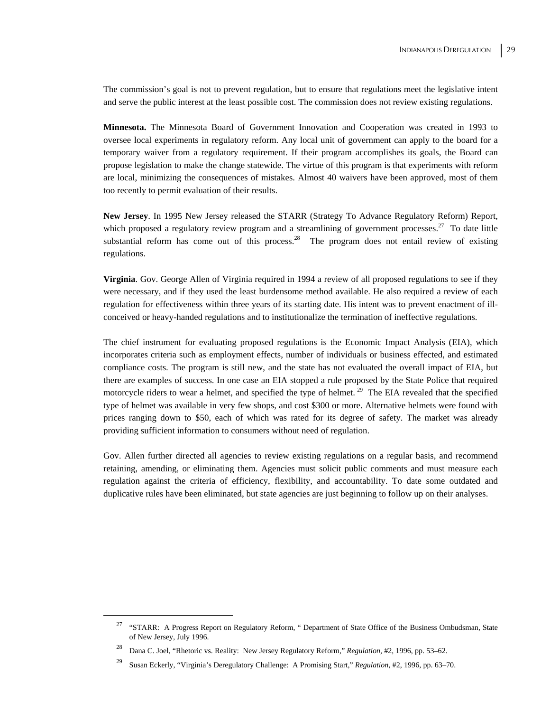The commission's goal is not to prevent regulation, but to ensure that regulations meet the legislative intent and serve the public interest at the least possible cost. The commission does not review existing regulations.

**Minnesota.** The Minnesota Board of Government Innovation and Cooperation was created in 1993 to oversee local experiments in regulatory reform. Any local unit of government can apply to the board for a temporary waiver from a regulatory requirement. If their program accomplishes its goals, the Board can propose legislation to make the change statewide. The virtue of this program is that experiments with reform are local, minimizing the consequences of mistakes. Almost 40 waivers have been approved, most of them too recently to permit evaluation of their results.

**New Jersey**. In 1995 New Jersey released the STARR (Strategy To Advance Regulatory Reform) Report, which proposed a regulatory review program and a streamlining of government processes.<sup>27</sup> To date little substantial reform has come out of this process.<sup>28</sup> The program does not entail review of existing regulations.

**Virginia**. Gov. George Allen of Virginia required in 1994 a review of all proposed regulations to see if they were necessary, and if they used the least burdensome method available. He also required a review of each regulation for effectiveness within three years of its starting date. His intent was to prevent enactment of illconceived or heavy-handed regulations and to institutionalize the termination of ineffective regulations.

The chief instrument for evaluating proposed regulations is the Economic Impact Analysis (EIA), which incorporates criteria such as employment effects, number of individuals or business effected, and estimated compliance costs. The program is still new, and the state has not evaluated the overall impact of EIA, but there are examples of success. In one case an EIA stopped a rule proposed by the State Police that required motorcycle riders to wear a helmet, and specified the type of helmet.<sup>29</sup> The EIA revealed that the specified type of helmet was available in very few shops, and cost \$300 or more. Alternative helmets were found with prices ranging down to \$50, each of which was rated for its degree of safety. The market was already providing sufficient information to consumers without need of regulation.

Gov. Allen further directed all agencies to review existing regulations on a regular basis, and recommend retaining, amending, or eliminating them. Agencies must solicit public comments and must measure each regulation against the criteria of efficiency, flexibility, and accountability. To date some outdated and duplicative rules have been eliminated, but state agencies are just beginning to follow up on their analyses.

<sup>&</sup>lt;sup>27</sup> "STARR: A Progress Report on Regulatory Reform, " Department of State Office of the Business Ombudsman, State of New Jersey, July 1996.

<sup>28</sup> Dana C. Joel, "Rhetoric vs. Reality: New Jersey Regulatory Reform," *Regulation*, #2, 1996, pp. 53–62.

<sup>29</sup> Susan Eckerly, "Virginia's Deregulatory Challenge: A Promising Start," *Regulation*, #2, 1996, pp. 63–70.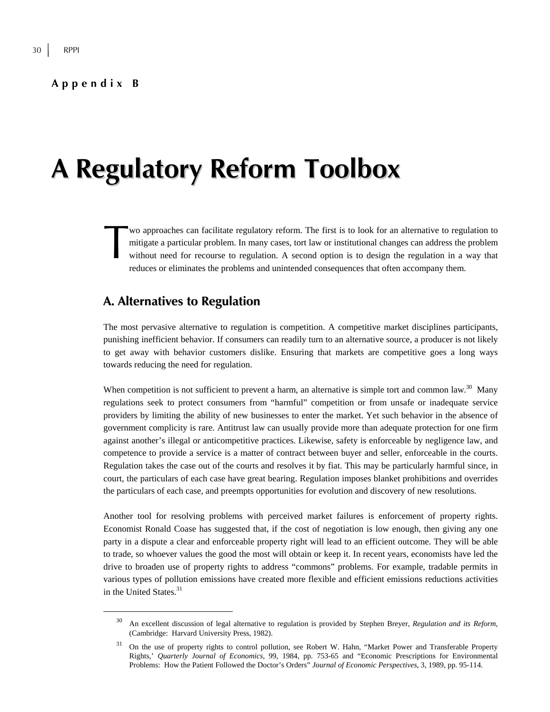#### **Appendix B**

## **A Regulatory Reform Toolbox**

wo approaches can facilitate regulatory reform. The first is to look for an alternative to regulation to mitigate a particular problem. In many cases, tort law or institutional changes can address the problem without need for recourse to regulation. A second option is to design the regulation in a way that reduces or eliminates the problems and unintended consequences that often accompany them. wo<br>mit<br>with

### **A. Alternatives to Regulation**

The most pervasive alternative to regulation is competition. A competitive market disciplines participants, punishing inefficient behavior. If consumers can readily turn to an alternative source, a producer is not likely to get away with behavior customers dislike. Ensuring that markets are competitive goes a long ways towards reducing the need for regulation.

When competition is not sufficient to prevent a harm, an alternative is simple tort and common law. $30$  Many regulations seek to protect consumers from "harmful" competition or from unsafe or inadequate service providers by limiting the ability of new businesses to enter the market. Yet such behavior in the absence of government complicity is rare. Antitrust law can usually provide more than adequate protection for one firm against another's illegal or anticompetitive practices. Likewise, safety is enforceable by negligence law, and competence to provide a service is a matter of contract between buyer and seller, enforceable in the courts. Regulation takes the case out of the courts and resolves it by fiat. This may be particularly harmful since, in court, the particulars of each case have great bearing. Regulation imposes blanket prohibitions and overrides the particulars of each case, and preempts opportunities for evolution and discovery of new resolutions.

Another tool for resolving problems with perceived market failures is enforcement of property rights. Economist Ronald Coase has suggested that, if the cost of negotiation is low enough, then giving any one party in a dispute a clear and enforceable property right will lead to an efficient outcome. They will be able to trade, so whoever values the good the most will obtain or keep it. In recent years, economists have led the drive to broaden use of property rights to address "commons" problems. For example, tradable permits in various types of pollution emissions have created more flexible and efficient emissions reductions activities in the United States.<sup>31</sup>

 <sup>30</sup> An excellent discussion of legal alternative to regulation is provided by Stephen Breyer, *Regulation and its Reform,* (Cambridge: Harvard University Press, 1982).

<sup>&</sup>lt;sup>31</sup> On the use of property rights to control pollution, see Robert W. Hahn, "Market Power and Transferable Property Rights,' *Quarterly Journal of Economics*, 99, 1984, pp. 753-65 and "Economic Prescriptions for Environmental Problems: How the Patient Followed the Doctor's Orders" *Journal of Economic Perspectives*, 3, 1989, pp. 95-114.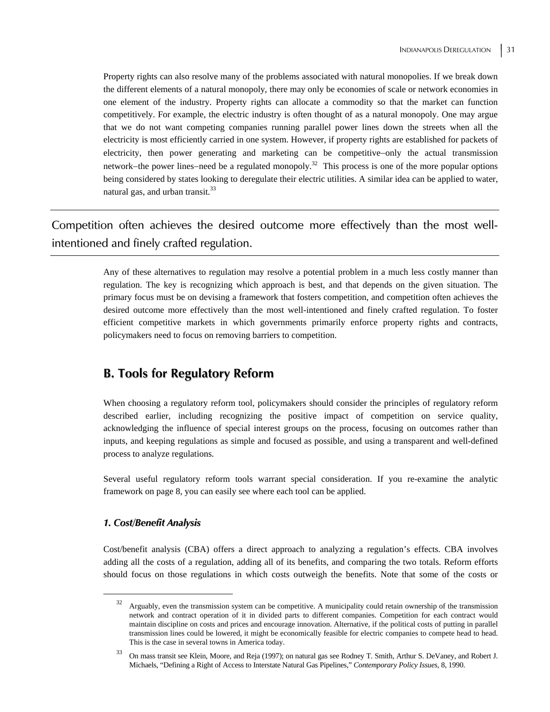Property rights can also resolve many of the problems associated with natural monopolies. If we break down the different elements of a natural monopoly, there may only be economies of scale or network economies in one element of the industry. Property rights can allocate a commodity so that the market can function competitively. For example, the electric industry is often thought of as a natural monopoly. One may argue that we do not want competing companies running parallel power lines down the streets when all the electricity is most efficiently carried in one system. However, if property rights are established for packets of electricity, then power generating and marketing can be competitive−only the actual transmission network−the power lines−need be a regulated monopoly.<sup>32</sup> This process is one of the more popular options being considered by states looking to deregulate their electric utilities. A similar idea can be applied to water, natural gas, and urban transit.<sup>33</sup>

Competition often achieves the desired outcome more effectively than the most wellintentioned and finely crafted regulation.

> Any of these alternatives to regulation may resolve a potential problem in a much less costly manner than regulation. The key is recognizing which approach is best, and that depends on the given situation. The primary focus must be on devising a framework that fosters competition, and competition often achieves the desired outcome more effectively than the most well-intentioned and finely crafted regulation. To foster efficient competitive markets in which governments primarily enforce property rights and contracts, policymakers need to focus on removing barriers to competition.

### **B. Tools for Regulatory Reform**

When choosing a regulatory reform tool, policymakers should consider the principles of regulatory reform described earlier, including recognizing the positive impact of competition on service quality, acknowledging the influence of special interest groups on the process, focusing on outcomes rather than inputs, and keeping regulations as simple and focused as possible, and using a transparent and well-defined process to analyze regulations.

Several useful regulatory reform tools warrant special consideration. If you re-examine the analytic framework on page 8, you can easily see where each tool can be applied.

#### *1. Cost/Benefit Analysis*

Cost/benefit analysis (CBA) offers a direct approach to analyzing a regulation's effects. CBA involves adding all the costs of a regulation, adding all of its benefits, and comparing the two totals. Reform efforts should focus on those regulations in which costs outweigh the benefits. Note that some of the costs or

<sup>&</sup>lt;sup>32</sup> Arguably, even the transmission system can be competitive. A municipality could retain ownership of the transmission network and contract operation of it in divided parts to different companies. Competition for each contract would maintain discipline on costs and prices and encourage innovation. Alternative, if the political costs of putting in parallel transmission lines could be lowered, it might be economically feasible for electric companies to compete head to head. This is the case in several towns in America today.

<sup>33</sup> On mass transit see Klein, Moore, and Reja (1997); on natural gas see Rodney T. Smith, Arthur S. DeVaney, and Robert J. Michaels, "Defining a Right of Access to Interstate Natural Gas Pipelines," *Contemporary Policy Issues*, 8, 1990.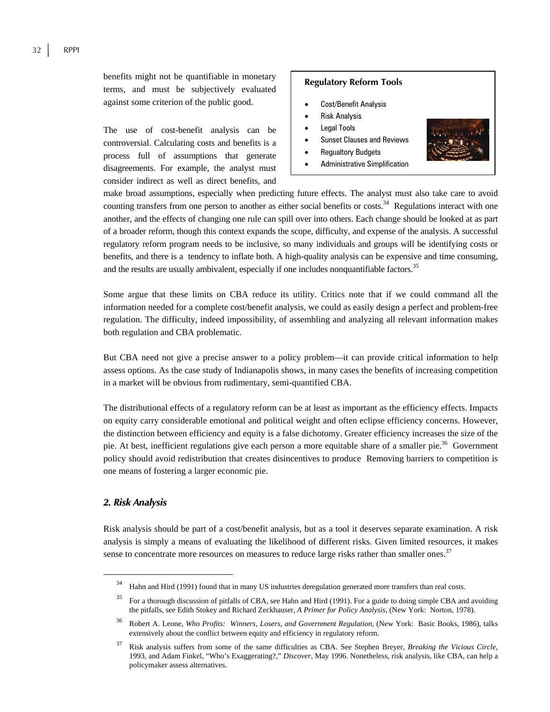against some criterion of the public good.

The use of cost-benefit analysis can be controversial. Calculating costs and benefits is a process full of assumptions that generate disagreements. For example, the analyst must consider indirect as well as direct benefits, and

#### **Regulatory Reform Tools**

- Cost/Benefit Analysis
- Risk Analysis
- Legal Tools
- Sunset Clauses and Reviews
- Regualtory Budgets
- Administrative Simplification



make broad assumptions, especially when predicting future effects. The analyst must also take care to avoid counting transfers from one person to another as either social benefits or costs.<sup>34</sup> Regulations interact with one another, and the effects of changing one rule can spill over into others. Each change should be looked at as part of a broader reform, though this context expands the scope, difficulty, and expense of the analysis. A successful regulatory reform program needs to be inclusive, so many individuals and groups will be identifying costs or benefits, and there is a tendency to inflate both. A high-quality analysis can be expensive and time consuming, and the results are usually ambivalent, especially if one includes nonquantifiable factors.<sup>35</sup>

Some argue that these limits on CBA reduce its utility. Critics note that if we could command all the information needed for a complete cost/benefit analysis, we could as easily design a perfect and problem-free regulation. The difficulty, indeed impossibility, of assembling and analyzing all relevant information makes both regulation and CBA problematic.

But CBA need not give a precise answer to a policy problem—it can provide critical information to help assess options. As the case study of Indianapolis shows, in many cases the benefits of increasing competition in a market will be obvious from rudimentary, semi-quantified CBA.

The distributional effects of a regulatory reform can be at least as important as the efficiency effects. Impacts on equity carry considerable emotional and political weight and often eclipse efficiency concerns. However, the distinction between efficiency and equity is a false dichotomy. Greater efficiency increases the size of the pie. At best, inefficient regulations give each person a more equitable share of a smaller pie.<sup>36</sup> Government policy should avoid redistribution that creates disincentives to produce Removing barriers to competition is one means of fostering a larger economic pie.

#### *2. Risk Analysis*

Risk analysis should be part of a cost/benefit analysis, but as a tool it deserves separate examination. A risk analysis is simply a means of evaluating the likelihood of different risks. Given limited resources, it makes sense to concentrate more resources on measures to reduce large risks rather than smaller ones.<sup>37</sup>

 <sup>34</sup> Hahn and Hird (1991) found that in many US industries deregulation generated more transfers than real costs.

<sup>&</sup>lt;sup>35</sup> For a thorough discussion of pitfalls of CBA, see Hahn and Hird (1991). For a guide to doing simple CBA and avoiding the pitfalls, see Edith Stokey and Richard Zeckhauser, *A Primer for Policy Analysis*, (New York: Norton, 1978).

<sup>36</sup> Robert A. Leone, *Who Profits: Winners, Losers, and Government Regulation,* (New York: Basic Books, 1986), talks extensively about the conflict between equity and efficiency in regulatory reform.

<sup>37</sup> Risk analysis suffers from some of the same difficulties as CBA. See Stephen Breyer, *Breaking the Vicious Circle*, 1993, and Adam Finkel, "Who's Exaggerating?," *Discover*, May 1996. Nonetheless, risk analysis, like CBA, can help a policymaker assess alternatives.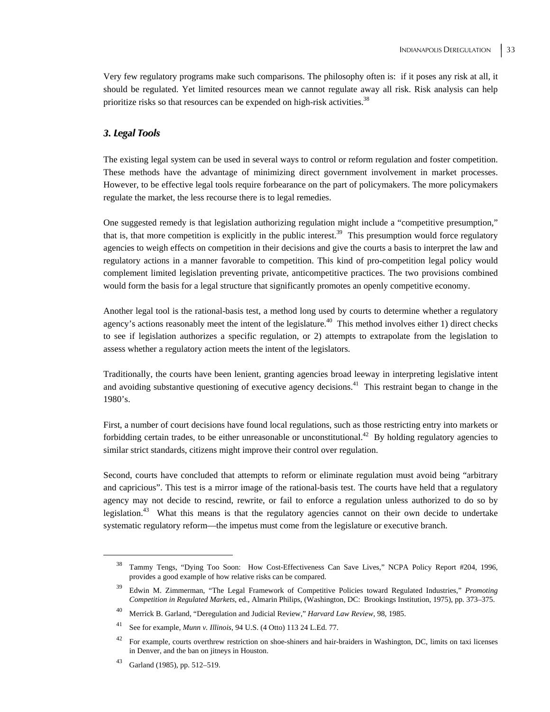Very few regulatory programs make such comparisons. The philosophy often is: if it poses any risk at all, it should be regulated. Yet limited resources mean we cannot regulate away all risk. Risk analysis can help prioritize risks so that resources can be expended on high-risk activities.<sup>38</sup>

#### *3. Legal Tools*

The existing legal system can be used in several ways to control or reform regulation and foster competition. These methods have the advantage of minimizing direct government involvement in market processes. However, to be effective legal tools require forbearance on the part of policymakers. The more policymakers regulate the market, the less recourse there is to legal remedies.

One suggested remedy is that legislation authorizing regulation might include a "competitive presumption," that is, that more competition is explicitly in the public interest.<sup>39</sup> This presumption would force regulatory agencies to weigh effects on competition in their decisions and give the courts a basis to interpret the law and regulatory actions in a manner favorable to competition. This kind of pro-competition legal policy would complement limited legislation preventing private, anticompetitive practices. The two provisions combined would form the basis for a legal structure that significantly promotes an openly competitive economy.

Another legal tool is the rational-basis test, a method long used by courts to determine whether a regulatory agency's actions reasonably meet the intent of the legislature.<sup>40</sup> This method involves either 1) direct checks to see if legislation authorizes a specific regulation, or 2) attempts to extrapolate from the legislation to assess whether a regulatory action meets the intent of the legislators.

Traditionally, the courts have been lenient, granting agencies broad leeway in interpreting legislative intent and avoiding substantive questioning of executive agency decisions.<sup>41</sup> This restraint began to change in the 1980's.

First, a number of court decisions have found local regulations, such as those restricting entry into markets or forbidding certain trades, to be either unreasonable or unconstitutional.<sup>42</sup> By holding regulatory agencies to similar strict standards, citizens might improve their control over regulation.

Second, courts have concluded that attempts to reform or eliminate regulation must avoid being "arbitrary and capricious". This test is a mirror image of the rational-basis test. The courts have held that a regulatory agency may not decide to rescind, rewrite, or fail to enforce a regulation unless authorized to do so by legislation.43 What this means is that the regulatory agencies cannot on their own decide to undertake systematic regulatory reform—the impetus must come from the legislature or executive branch.

 <sup>38</sup> Tammy Tengs, "Dying Too Soon: How Cost-Effectiveness Can Save Lives," NCPA Policy Report #204, 1996, provides a good example of how relative risks can be compared.

<sup>39</sup> Edwin M. Zimmerman, "The Legal Framework of Competitive Policies toward Regulated Industries," *Promoting Competition in Regulated Markets*, ed., Almarin Philips, (Washington, DC: Brookings Institution, 1975), pp. 373–375.

<sup>40</sup> Merrick B. Garland, "Deregulation and Judicial Review," *Harvard Law Review*, 98, 1985.

<sup>41</sup> See for example, *Munn v. Illinois*, 94 U.S. (4 Otto) 113 24 L.Ed. 77.

<sup>&</sup>lt;sup>42</sup> For example, courts overthrew restriction on shoe-shiners and hair-braiders in Washington, DC, limits on taxi licenses in Denver, and the ban on jitneys in Houston.

Garland (1985), pp. 512–519.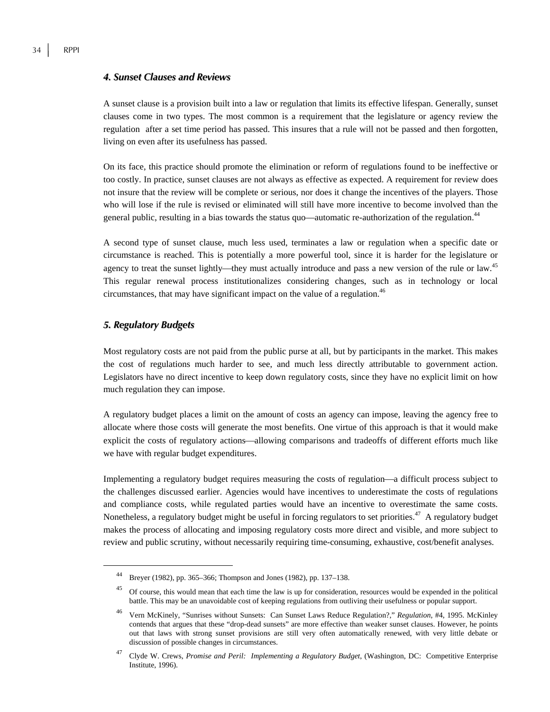#### *4. Sunset Clauses and Reviews*

A sunset clause is a provision built into a law or regulation that limits its effective lifespan. Generally, sunset clauses come in two types. The most common is a requirement that the legislature or agency review the regulation after a set time period has passed. This insures that a rule will not be passed and then forgotten, living on even after its usefulness has passed.

On its face, this practice should promote the elimination or reform of regulations found to be ineffective or too costly. In practice, sunset clauses are not always as effective as expected. A requirement for review does not insure that the review will be complete or serious, nor does it change the incentives of the players. Those who will lose if the rule is revised or eliminated will still have more incentive to become involved than the general public, resulting in a bias towards the status quo—automatic re-authorization of the regulation.44

A second type of sunset clause, much less used, terminates a law or regulation when a specific date or circumstance is reached. This is potentially a more powerful tool, since it is harder for the legislature or agency to treat the sunset lightly—they must actually introduce and pass a new version of the rule or law.<sup>45</sup> This regular renewal process institutionalizes considering changes, such as in technology or local circumstances, that may have significant impact on the value of a regulation.<sup>46</sup>

#### *5. Regulatory Budgets*

Most regulatory costs are not paid from the public purse at all, but by participants in the market. This makes the cost of regulations much harder to see, and much less directly attributable to government action. Legislators have no direct incentive to keep down regulatory costs, since they have no explicit limit on how much regulation they can impose.

A regulatory budget places a limit on the amount of costs an agency can impose, leaving the agency free to allocate where those costs will generate the most benefits. One virtue of this approach is that it would make explicit the costs of regulatory actions—allowing comparisons and tradeoffs of different efforts much like we have with regular budget expenditures.

Implementing a regulatory budget requires measuring the costs of regulation—a difficult process subject to the challenges discussed earlier. Agencies would have incentives to underestimate the costs of regulations and compliance costs, while regulated parties would have an incentive to overestimate the same costs. Nonetheless, a regulatory budget might be useful in forcing regulators to set priorities.<sup>47</sup> A regulatory budget makes the process of allocating and imposing regulatory costs more direct and visible, and more subject to review and public scrutiny, without necessarily requiring time-consuming, exhaustive, cost/benefit analyses.

 <sup>44</sup> Breyer (1982), pp. 365–366; Thompson and Jones (1982), pp. 137–138.

<sup>&</sup>lt;sup>45</sup> Of course, this would mean that each time the law is up for consideration, resources would be expended in the political battle. This may be an unavoidable cost of keeping regulations from outliving their usefulness or popular support.

<sup>46</sup> Vern McKinely, "Sunrises without Sunsets: Can Sunset Laws Reduce Regulation?," *Regulation*, #4, 1995. McKinley contends that argues that these "drop-dead sunsets" are more effective than weaker sunset clauses. However, he points out that laws with strong sunset provisions are still very often automatically renewed, with very little debate or discussion of possible changes in circumstances.

<sup>47</sup> Clyde W. Crews, *Promise and Peril: Implementing a Regulatory Budget*, (Washington, DC: Competitive Enterprise Institute, 1996).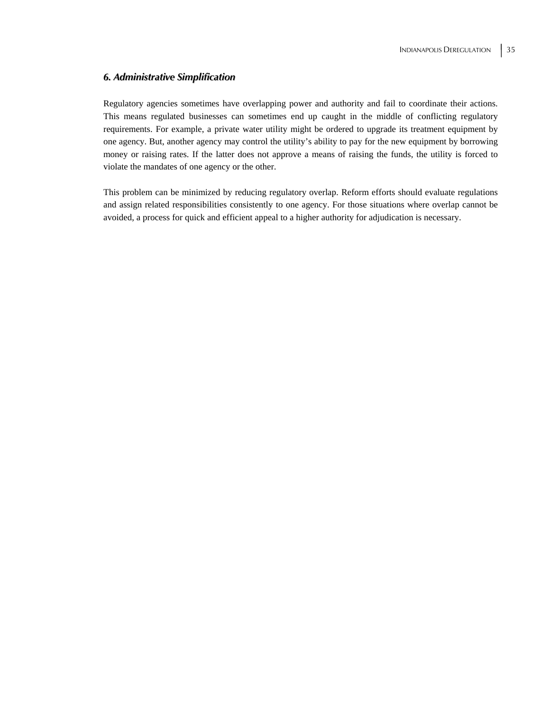#### *6. Administrative Simplification*

Regulatory agencies sometimes have overlapping power and authority and fail to coordinate their actions. This means regulated businesses can sometimes end up caught in the middle of conflicting regulatory requirements. For example, a private water utility might be ordered to upgrade its treatment equipment by one agency. But, another agency may control the utility's ability to pay for the new equipment by borrowing money or raising rates. If the latter does not approve a means of raising the funds, the utility is forced to violate the mandates of one agency or the other.

This problem can be minimized by reducing regulatory overlap. Reform efforts should evaluate regulations and assign related responsibilities consistently to one agency. For those situations where overlap cannot be avoided, a process for quick and efficient appeal to a higher authority for adjudication is necessary.